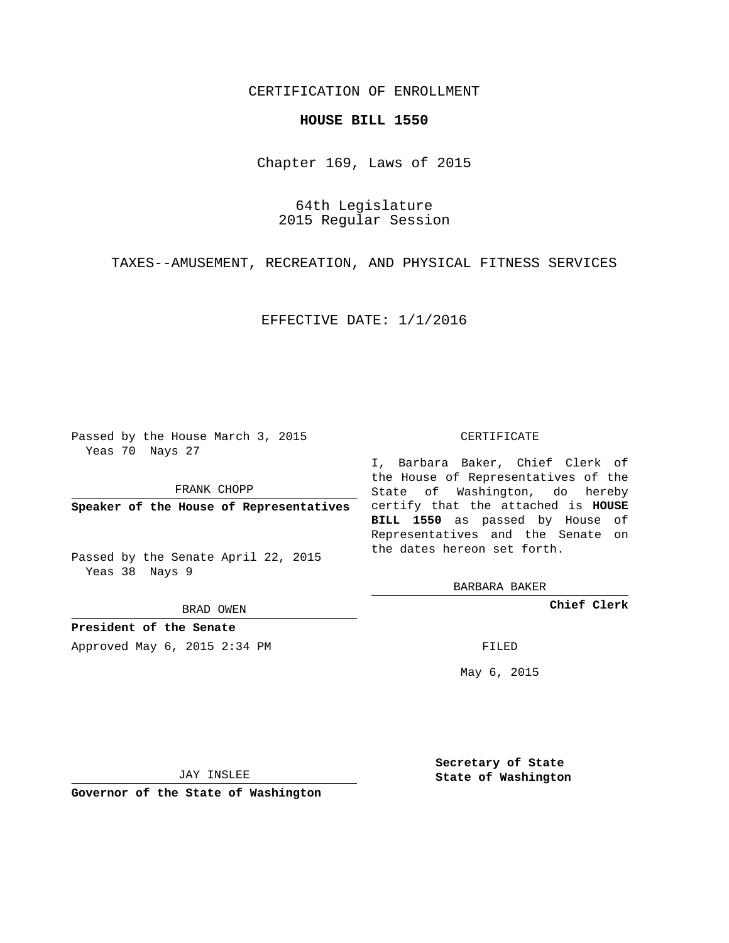## CERTIFICATION OF ENROLLMENT

## **HOUSE BILL 1550**

Chapter 169, Laws of 2015

64th Legislature 2015 Regular Session

TAXES--AMUSEMENT, RECREATION, AND PHYSICAL FITNESS SERVICES

EFFECTIVE DATE: 1/1/2016

Passed by the House March 3, 2015 Yeas 70 Nays 27

FRANK CHOPP

Passed by the Senate April 22, 2015 Yeas 38 Nays 9

BRAD OWEN

**President of the Senate**

Approved May 6, 2015 2:34 PM FILED

## CERTIFICATE

**Speaker of the House of Representatives** certify that the attached is **HOUSE** I, Barbara Baker, Chief Clerk of the House of Representatives of the State of Washington, do hereby **BILL 1550** as passed by House of Representatives and the Senate on the dates hereon set forth.

BARBARA BAKER

**Chief Clerk**

May 6, 2015

JAY INSLEE

**Governor of the State of Washington**

**Secretary of State State of Washington**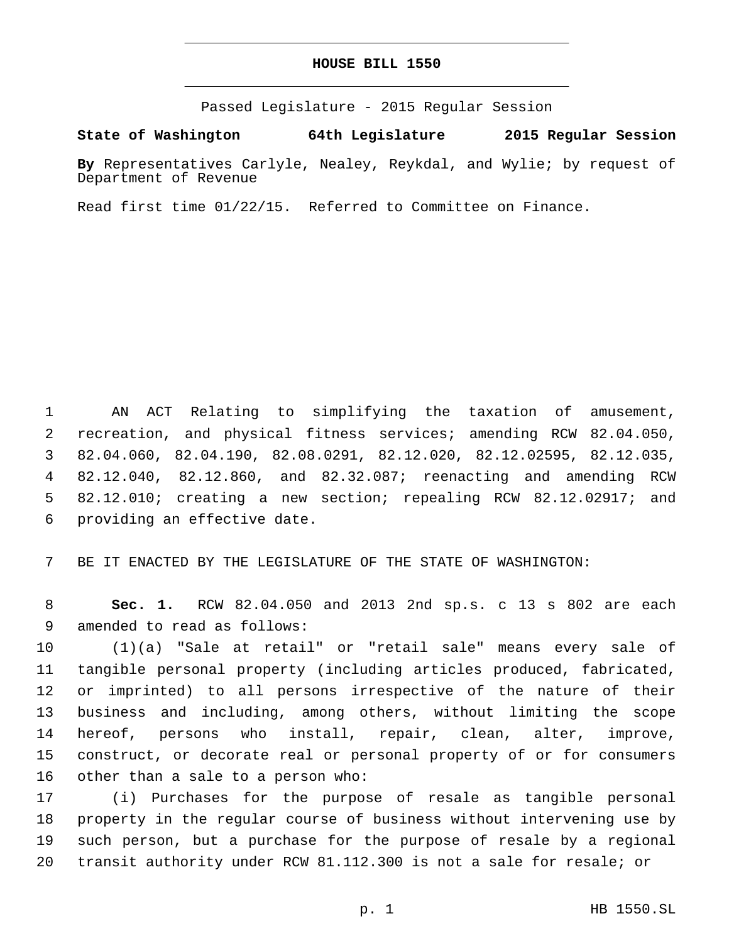## **HOUSE BILL 1550**

Passed Legislature - 2015 Regular Session

**State of Washington 64th Legislature 2015 Regular Session**

**By** Representatives Carlyle, Nealey, Reykdal, and Wylie; by request of Department of Revenue

Read first time 01/22/15. Referred to Committee on Finance.

 AN ACT Relating to simplifying the taxation of amusement, recreation, and physical fitness services; amending RCW 82.04.050, 82.04.060, 82.04.190, 82.08.0291, 82.12.020, 82.12.02595, 82.12.035, 82.12.040, 82.12.860, and 82.32.087; reenacting and amending RCW 82.12.010; creating a new section; repealing RCW 82.12.02917; and 6 providing an effective date.

BE IT ENACTED BY THE LEGISLATURE OF THE STATE OF WASHINGTON:

 **Sec. 1.** RCW 82.04.050 and 2013 2nd sp.s. c 13 s 802 are each 9 amended to read as follows:

 (1)(a) "Sale at retail" or "retail sale" means every sale of tangible personal property (including articles produced, fabricated, or imprinted) to all persons irrespective of the nature of their business and including, among others, without limiting the scope hereof, persons who install, repair, clean, alter, improve, construct, or decorate real or personal property of or for consumers 16 other than a sale to a person who:

 (i) Purchases for the purpose of resale as tangible personal property in the regular course of business without intervening use by such person, but a purchase for the purpose of resale by a regional transit authority under RCW 81.112.300 is not a sale for resale; or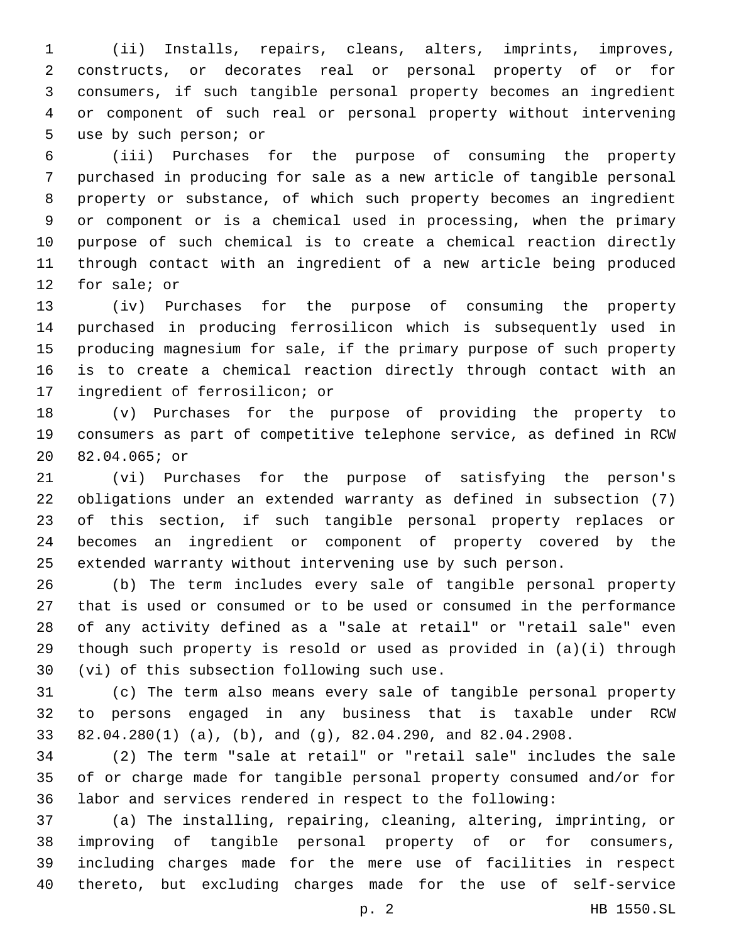(ii) Installs, repairs, cleans, alters, imprints, improves, constructs, or decorates real or personal property of or for consumers, if such tangible personal property becomes an ingredient or component of such real or personal property without intervening 5 use by such person; or

 (iii) Purchases for the purpose of consuming the property purchased in producing for sale as a new article of tangible personal property or substance, of which such property becomes an ingredient or component or is a chemical used in processing, when the primary purpose of such chemical is to create a chemical reaction directly through contact with an ingredient of a new article being produced 12 for sale; or

 (iv) Purchases for the purpose of consuming the property purchased in producing ferrosilicon which is subsequently used in producing magnesium for sale, if the primary purpose of such property is to create a chemical reaction directly through contact with an 17 ingredient of ferrosilicon; or

 (v) Purchases for the purpose of providing the property to consumers as part of competitive telephone service, as defined in RCW 20 82.04.065; or

 (vi) Purchases for the purpose of satisfying the person's obligations under an extended warranty as defined in subsection (7) of this section, if such tangible personal property replaces or becomes an ingredient or component of property covered by the extended warranty without intervening use by such person.

 (b) The term includes every sale of tangible personal property that is used or consumed or to be used or consumed in the performance of any activity defined as a "sale at retail" or "retail sale" even though such property is resold or used as provided in (a)(i) through 30 (vi) of this subsection following such use.

 (c) The term also means every sale of tangible personal property to persons engaged in any business that is taxable under RCW 82.04.280(1) (a), (b), and (g), 82.04.290, and 82.04.2908.

 (2) The term "sale at retail" or "retail sale" includes the sale of or charge made for tangible personal property consumed and/or for labor and services rendered in respect to the following:

 (a) The installing, repairing, cleaning, altering, imprinting, or improving of tangible personal property of or for consumers, including charges made for the mere use of facilities in respect thereto, but excluding charges made for the use of self-service

p. 2 HB 1550.SL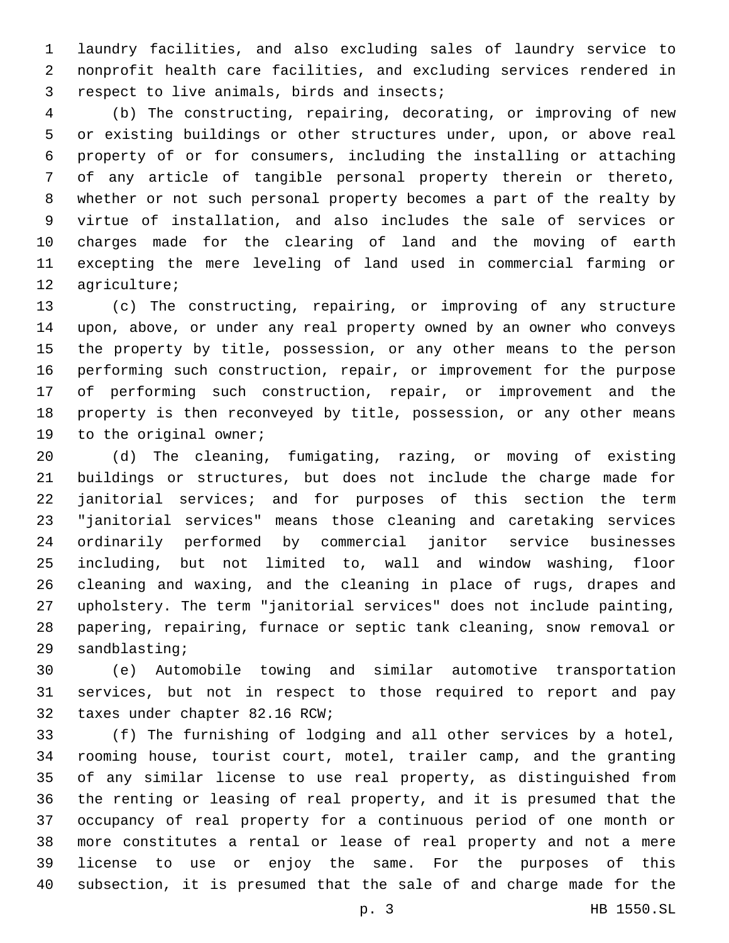laundry facilities, and also excluding sales of laundry service to nonprofit health care facilities, and excluding services rendered in 3 respect to live animals, birds and insects;

 (b) The constructing, repairing, decorating, or improving of new or existing buildings or other structures under, upon, or above real property of or for consumers, including the installing or attaching of any article of tangible personal property therein or thereto, whether or not such personal property becomes a part of the realty by virtue of installation, and also includes the sale of services or charges made for the clearing of land and the moving of earth excepting the mere leveling of land used in commercial farming or 12 agriculture;

 (c) The constructing, repairing, or improving of any structure upon, above, or under any real property owned by an owner who conveys the property by title, possession, or any other means to the person performing such construction, repair, or improvement for the purpose of performing such construction, repair, or improvement and the property is then reconveyed by title, possession, or any other means 19 to the original owner;

 (d) The cleaning, fumigating, razing, or moving of existing buildings or structures, but does not include the charge made for janitorial services; and for purposes of this section the term "janitorial services" means those cleaning and caretaking services ordinarily performed by commercial janitor service businesses including, but not limited to, wall and window washing, floor cleaning and waxing, and the cleaning in place of rugs, drapes and upholstery. The term "janitorial services" does not include painting, papering, repairing, furnace or septic tank cleaning, snow removal or 29 sandblasting;

 (e) Automobile towing and similar automotive transportation services, but not in respect to those required to report and pay 32 taxes under chapter 82.16 RCW;

 (f) The furnishing of lodging and all other services by a hotel, rooming house, tourist court, motel, trailer camp, and the granting of any similar license to use real property, as distinguished from the renting or leasing of real property, and it is presumed that the occupancy of real property for a continuous period of one month or more constitutes a rental or lease of real property and not a mere license to use or enjoy the same. For the purposes of this subsection, it is presumed that the sale of and charge made for the

p. 3 HB 1550.SL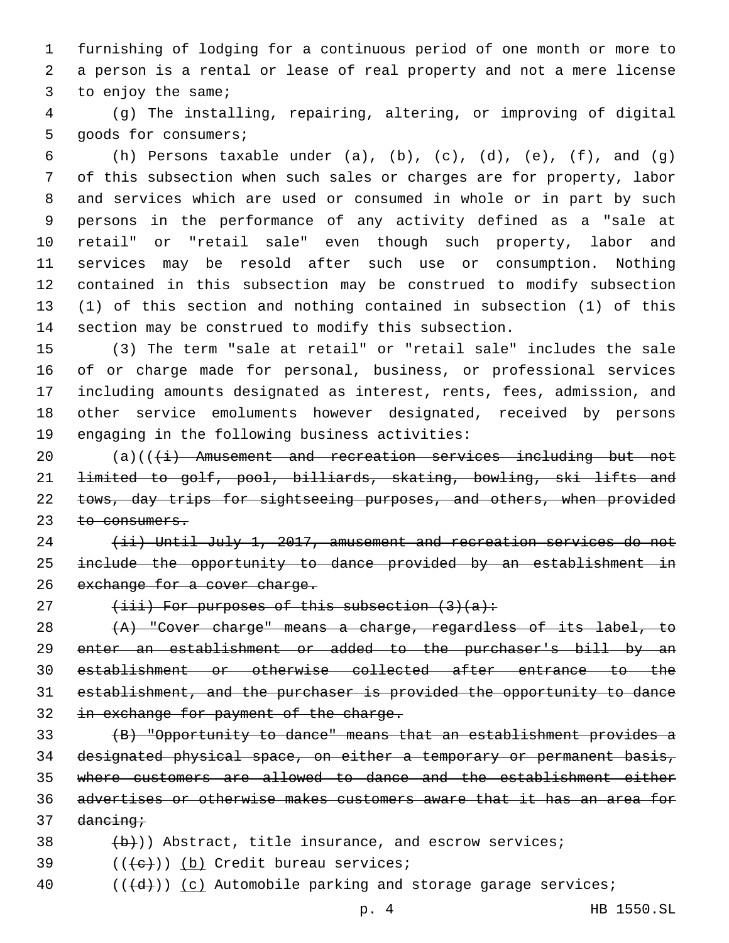furnishing of lodging for a continuous period of one month or more to a person is a rental or lease of real property and not a mere license 3 to enjoy the same;

 (g) The installing, repairing, altering, or improving of digital 5 goods for consumers;

6 (h) Persons taxable under (a), (b), (c), (d), (e), (f), and (g) of this subsection when such sales or charges are for property, labor and services which are used or consumed in whole or in part by such persons in the performance of any activity defined as a "sale at retail" or "retail sale" even though such property, labor and services may be resold after such use or consumption. Nothing contained in this subsection may be construed to modify subsection (1) of this section and nothing contained in subsection (1) of this section may be construed to modify this subsection.

 (3) The term "sale at retail" or "retail sale" includes the sale of or charge made for personal, business, or professional services including amounts designated as interest, rents, fees, admission, and other service emoluments however designated, received by persons 19 engaging in the following business activities:

 $(a)((\{i\})$  Amusement and recreation services including but not limited to golf, pool, billiards, skating, bowling, ski lifts and 22 tows, day trips for sightseeing purposes, and others, when provided 23 to consumers.

 (ii) Until July 1, 2017, amusement and recreation services do not include the opportunity to dance provided by an establishment in 26 exchange for a cover charge.

27  $(iii)$  For purposes of this subsection  $(3)(a)$ :

 (A) "Cover charge" means a charge, regardless of its label, to enter an establishment or added to the purchaser's bill by an establishment or otherwise collected after entrance to the establishment, and the purchaser is provided the opportunity to dance 32 in exchange for payment of the charge.

 (B) "Opportunity to dance" means that an establishment provides a designated physical space, on either a temporary or permanent basis, where customers are allowed to dance and the establishment either advertises or otherwise makes customers aware that it has an area for dancing;

- $(b)$ )) Abstract, title insurance, and escrow services;
- $($ ( $\left( +e^{+}\right)$ ) (b) Credit bureau services;
- 40  $((+d))$   $(c)$  Automobile parking and storage garage services;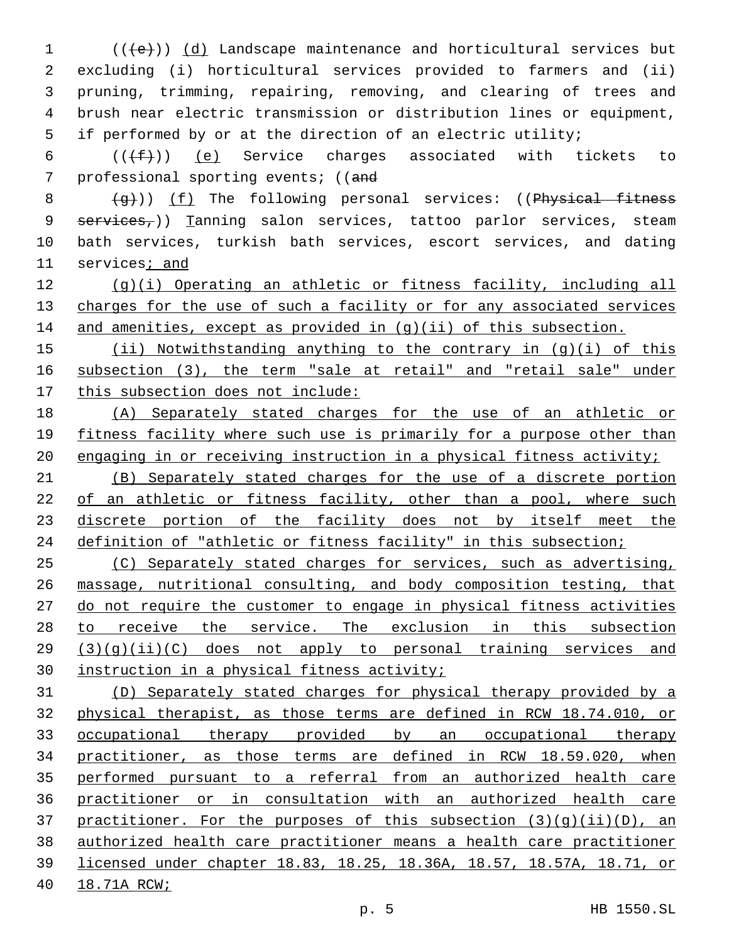(( $\left( +e\right)$ ) (d) Landscape maintenance and horticultural services but excluding (i) horticultural services provided to farmers and (ii) pruning, trimming, repairing, removing, and clearing of trees and brush near electric transmission or distribution lines or equipment, if performed by or at the direction of an electric utility;

 $((\text{+f})^2)$  (e) Service charges associated with tickets to 7 professional sporting events; ((and

  $\left(4\right)$ ) (f) The following personal services: ((Physical fitness 9 services<sub>7</sub>)) Tanning salon services, tattoo parlor services, steam bath services, turkish bath services, escort services, and dating services; and

 (g)(i) Operating an athletic or fitness facility, including all 13 charges for the use of such a facility or for any associated services 14 and amenities, except as provided in (g)(ii) of this subsection.

 (ii) Notwithstanding anything to the contrary in (g)(i) of this subsection (3), the term "sale at retail" and "retail sale" under this subsection does not include:

 (A) Separately stated charges for the use of an athletic or fitness facility where such use is primarily for a purpose other than 20 engaging in or receiving instruction in a physical fitness activity;

 (B) Separately stated charges for the use of a discrete portion 22 of an athletic or fitness facility, other than a pool, where such 23 discrete portion of the facility does not by itself meet the 24 definition of "athletic or fitness facility" in this subsection;

 (C) Separately stated charges for services, such as advertising, massage, nutritional consulting, and body composition testing, that do not require the customer to engage in physical fitness activities to receive the service. The exclusion in this subsection (3)(g)(ii)(C) does not apply to personal training services and instruction in a physical fitness activity;

 (D) Separately stated charges for physical therapy provided by a physical therapist, as those terms are defined in RCW 18.74.010, or occupational therapy provided by an occupational therapy practitioner, as those terms are defined in RCW 18.59.020, when performed pursuant to a referral from an authorized health care practitioner or in consultation with an authorized health care 37 practitioner. For the purposes of this subsection  $(3)(q)(ii)(D)$ , an authorized health care practitioner means a health care practitioner licensed under chapter 18.83, 18.25, 18.36A, 18.57, 18.57A, 18.71, or 18.71A RCW;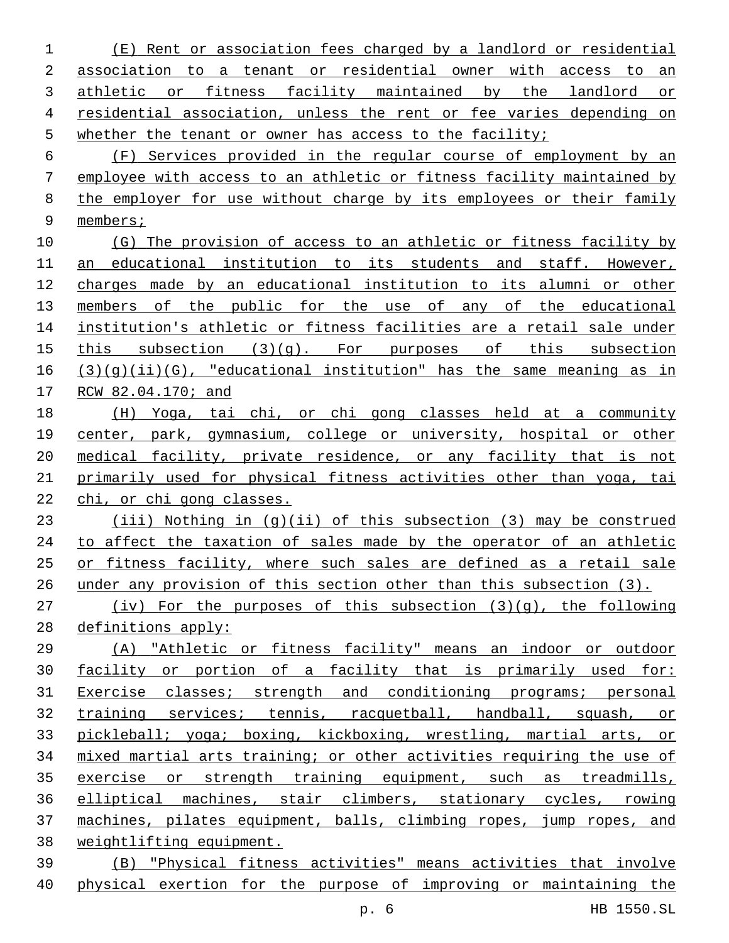(E) Rent or association fees charged by a landlord or residential association to a tenant or residential owner with access to an athletic or fitness facility maintained by the landlord or residential association, unless the rent or fee varies depending on whether the tenant or owner has access to the facility; (F) Services provided in the regular course of employment by an employee with access to an athletic or fitness facility maintained by the employer for use without charge by its employees or their family members; 10 (G) The provision of access to an athletic or fitness facility by an educational institution to its students and staff. However, charges made by an educational institution to its alumni or other 13 members of the public for the use of any of the educational institution's athletic or fitness facilities are a retail sale under this subsection (3)(g). For purposes of this subsection  $(3)(q)(ii)(G)$ , "educational institution" has the same meaning as in RCW 82.04.170; and (H) Yoga, tai chi, or chi gong classes held at a community 19 center, park, gymnasium, college or university, hospital or other medical facility, private residence, or any facility that is not primarily used for physical fitness activities other than yoga, tai chi, or chi gong classes. (iii) Nothing in (g)(ii) of this subsection (3) may be construed 24 to affect the taxation of sales made by the operator of an athletic or fitness facility, where such sales are defined as a retail sale under any provision of this section other than this subsection (3). (iv) For the purposes of this subsection (3)(g), the following definitions apply: (A) "Athletic or fitness facility" means an indoor or outdoor facility or portion of a facility that is primarily used for: Exercise classes; strength and conditioning programs; personal training services; tennis, racquetball, handball, squash, or pickleball; yoga; boxing, kickboxing, wrestling, martial arts, or mixed martial arts training; or other activities requiring the use of 35 exercise or strength training equipment, such as treadmills, elliptical machines, stair climbers, stationary cycles, rowing machines, pilates equipment, balls, climbing ropes, jump ropes, and weightlifting equipment. (B) "Physical fitness activities" means activities that involve physical exertion for the purpose of improving or maintaining the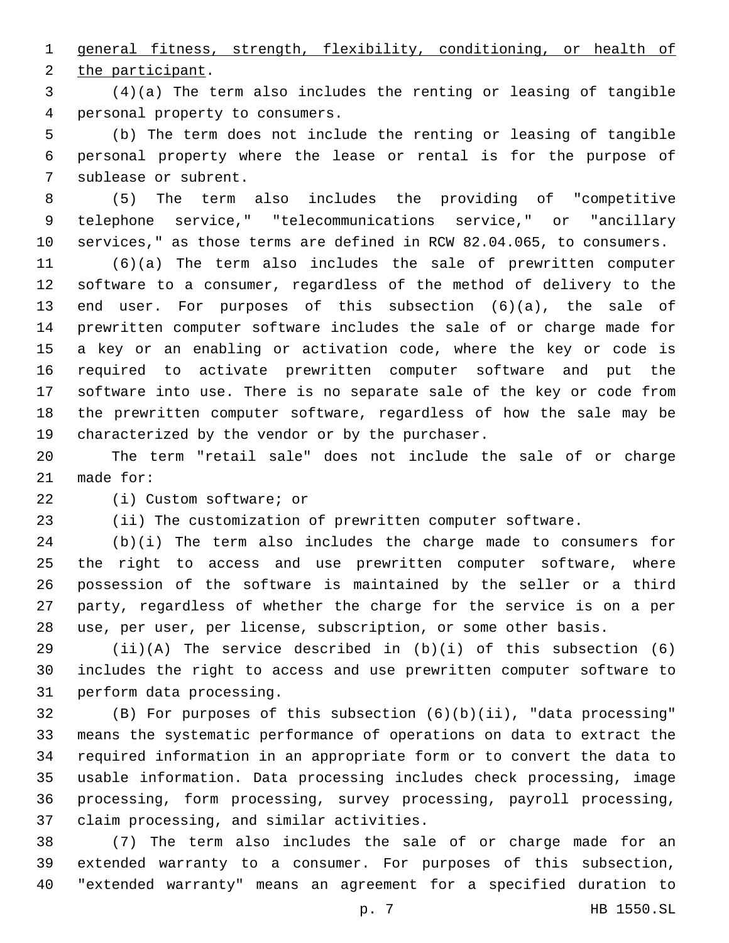general fitness, strength, flexibility, conditioning, or health of 2 the participant.

 (4)(a) The term also includes the renting or leasing of tangible 4 personal property to consumers.

 (b) The term does not include the renting or leasing of tangible personal property where the lease or rental is for the purpose of 7 sublease or subrent.

 (5) The term also includes the providing of "competitive telephone service," "telecommunications service," or "ancillary services," as those terms are defined in RCW 82.04.065, to consumers.

 (6)(a) The term also includes the sale of prewritten computer software to a consumer, regardless of the method of delivery to the end user. For purposes of this subsection (6)(a), the sale of prewritten computer software includes the sale of or charge made for a key or an enabling or activation code, where the key or code is required to activate prewritten computer software and put the software into use. There is no separate sale of the key or code from the prewritten computer software, regardless of how the sale may be 19 characterized by the vendor or by the purchaser.

 The term "retail sale" does not include the sale of or charge made for:

22 (i) Custom software; or

(ii) The customization of prewritten computer software.

 (b)(i) The term also includes the charge made to consumers for the right to access and use prewritten computer software, where possession of the software is maintained by the seller or a third party, regardless of whether the charge for the service is on a per use, per user, per license, subscription, or some other basis.

29  $(ii)(A)$  The service described in  $(b)(i)$  of this subsection  $(6)$  includes the right to access and use prewritten computer software to 31 perform data processing.

 (B) For purposes of this subsection (6)(b)(ii), "data processing" means the systematic performance of operations on data to extract the required information in an appropriate form or to convert the data to usable information. Data processing includes check processing, image processing, form processing, survey processing, payroll processing, 37 claim processing, and similar activities.

 (7) The term also includes the sale of or charge made for an extended warranty to a consumer. For purposes of this subsection, "extended warranty" means an agreement for a specified duration to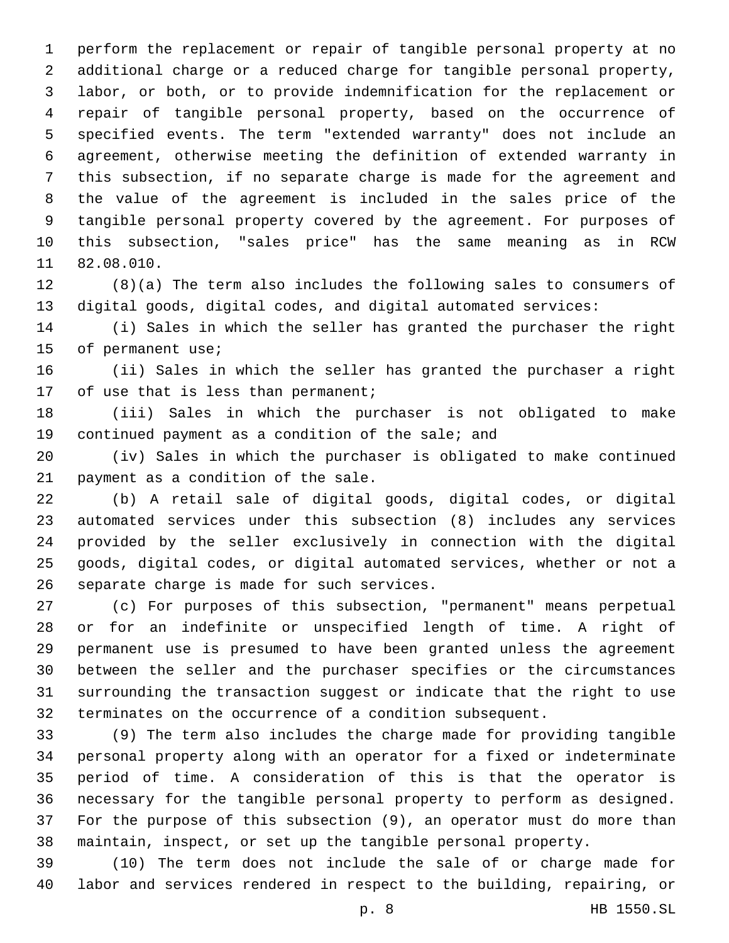perform the replacement or repair of tangible personal property at no additional charge or a reduced charge for tangible personal property, labor, or both, or to provide indemnification for the replacement or repair of tangible personal property, based on the occurrence of specified events. The term "extended warranty" does not include an agreement, otherwise meeting the definition of extended warranty in this subsection, if no separate charge is made for the agreement and the value of the agreement is included in the sales price of the tangible personal property covered by the agreement. For purposes of this subsection, "sales price" has the same meaning as in RCW 11 82.08.010.

 (8)(a) The term also includes the following sales to consumers of digital goods, digital codes, and digital automated services:

 (i) Sales in which the seller has granted the purchaser the right 15 of permanent use;

 (ii) Sales in which the seller has granted the purchaser a right 17 of use that is less than permanent;

 (iii) Sales in which the purchaser is not obligated to make 19 continued payment as a condition of the sale; and

 (iv) Sales in which the purchaser is obligated to make continued 21 payment as a condition of the sale.

 (b) A retail sale of digital goods, digital codes, or digital automated services under this subsection (8) includes any services provided by the seller exclusively in connection with the digital goods, digital codes, or digital automated services, whether or not a 26 separate charge is made for such services.

 (c) For purposes of this subsection, "permanent" means perpetual or for an indefinite or unspecified length of time. A right of permanent use is presumed to have been granted unless the agreement between the seller and the purchaser specifies or the circumstances surrounding the transaction suggest or indicate that the right to use terminates on the occurrence of a condition subsequent.

 (9) The term also includes the charge made for providing tangible personal property along with an operator for a fixed or indeterminate period of time. A consideration of this is that the operator is necessary for the tangible personal property to perform as designed. For the purpose of this subsection (9), an operator must do more than maintain, inspect, or set up the tangible personal property.

 (10) The term does not include the sale of or charge made for labor and services rendered in respect to the building, repairing, or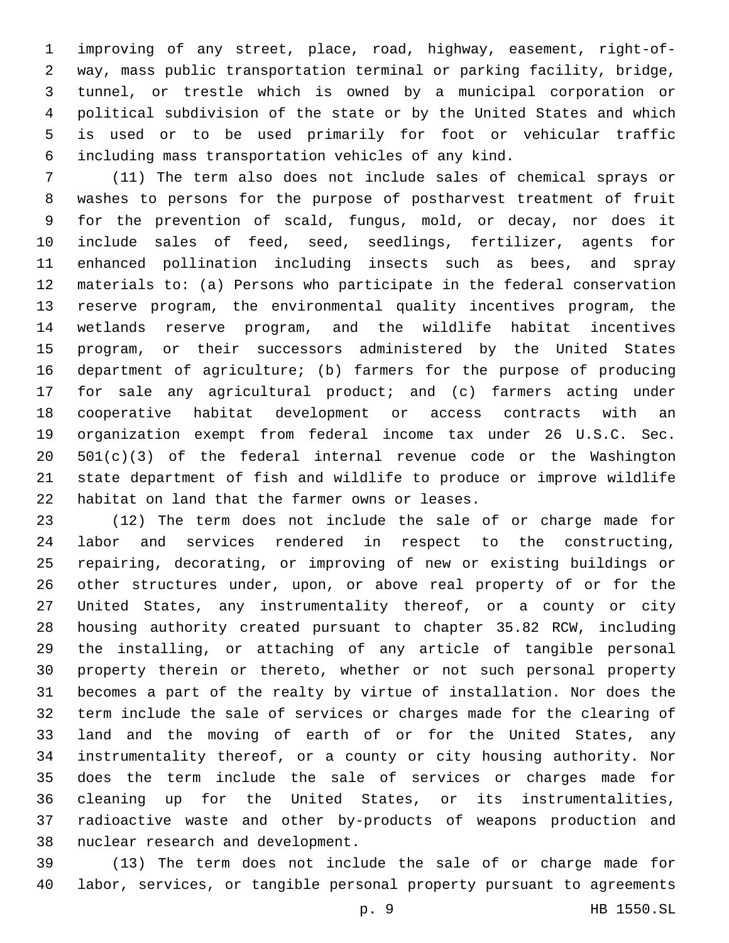improving of any street, place, road, highway, easement, right-of- way, mass public transportation terminal or parking facility, bridge, tunnel, or trestle which is owned by a municipal corporation or political subdivision of the state or by the United States and which is used or to be used primarily for foot or vehicular traffic including mass transportation vehicles of any kind.

 (11) The term also does not include sales of chemical sprays or washes to persons for the purpose of postharvest treatment of fruit for the prevention of scald, fungus, mold, or decay, nor does it include sales of feed, seed, seedlings, fertilizer, agents for enhanced pollination including insects such as bees, and spray materials to: (a) Persons who participate in the federal conservation reserve program, the environmental quality incentives program, the wetlands reserve program, and the wildlife habitat incentives program, or their successors administered by the United States department of agriculture; (b) farmers for the purpose of producing for sale any agricultural product; and (c) farmers acting under cooperative habitat development or access contracts with an organization exempt from federal income tax under 26 U.S.C. Sec. 501(c)(3) of the federal internal revenue code or the Washington state department of fish and wildlife to produce or improve wildlife 22 habitat on land that the farmer owns or leases.

 (12) The term does not include the sale of or charge made for labor and services rendered in respect to the constructing, repairing, decorating, or improving of new or existing buildings or other structures under, upon, or above real property of or for the United States, any instrumentality thereof, or a county or city housing authority created pursuant to chapter 35.82 RCW, including the installing, or attaching of any article of tangible personal property therein or thereto, whether or not such personal property becomes a part of the realty by virtue of installation. Nor does the term include the sale of services or charges made for the clearing of land and the moving of earth of or for the United States, any instrumentality thereof, or a county or city housing authority. Nor does the term include the sale of services or charges made for cleaning up for the United States, or its instrumentalities, radioactive waste and other by-products of weapons production and 38 nuclear research and development.

 (13) The term does not include the sale of or charge made for labor, services, or tangible personal property pursuant to agreements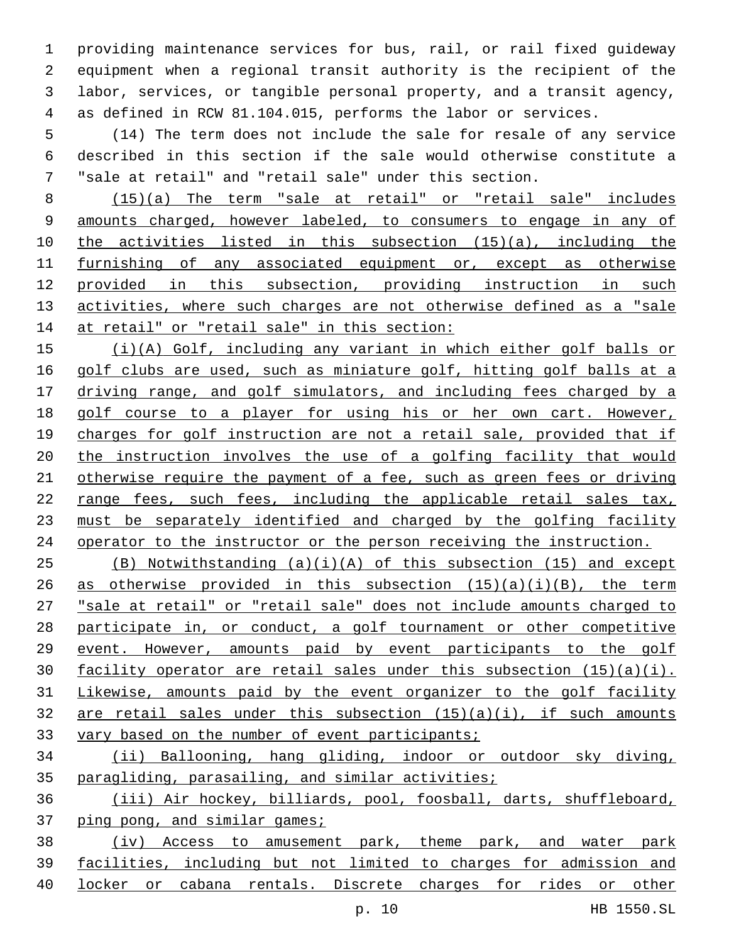providing maintenance services for bus, rail, or rail fixed guideway equipment when a regional transit authority is the recipient of the labor, services, or tangible personal property, and a transit agency, as defined in RCW 81.104.015, performs the labor or services.

 (14) The term does not include the sale for resale of any service described in this section if the sale would otherwise constitute a "sale at retail" and "retail sale" under this section.

 (15)(a) The term "sale at retail" or "retail sale" includes amounts charged, however labeled, to consumers to engage in any of the activities listed in this subsection (15)(a), including the furnishing of any associated equipment or, except as otherwise provided in this subsection, providing instruction in such 13 activities, where such charges are not otherwise defined as a "sale 14 at retail" or "retail sale" in this section:

 (i)(A) Golf, including any variant in which either golf balls or golf clubs are used, such as miniature golf, hitting golf balls at a driving range, and golf simulators, and including fees charged by a golf course to a player for using his or her own cart. However, charges for golf instruction are not a retail sale, provided that if the instruction involves the use of a golfing facility that would otherwise require the payment of a fee, such as green fees or driving range fees, such fees, including the applicable retail sales tax, 23 must be separately identified and charged by the golfing facility operator to the instructor or the person receiving the instruction.

 (B) Notwithstanding (a)(i)(A) of this subsection (15) and except 26 as otherwise provided in this subsection  $(15)(a)(i)(B)$ , the term "sale at retail" or "retail sale" does not include amounts charged to participate in, or conduct, a golf tournament or other competitive event. However, amounts paid by event participants to the golf facility operator are retail sales under this subsection (15)(a)(i). Likewise, amounts paid by the event organizer to the golf facility 32 are retail sales under this subsection  $(15)(a)(i)$ , if such amounts 33 vary based on the number of event participants;

 (ii) Ballooning, hang gliding, indoor or outdoor sky diving, paragliding, parasailing, and similar activities;

 (iii) Air hockey, billiards, pool, foosball, darts, shuffleboard, ping pong, and similar games;

38 (iv) Access to amusement park, theme park, and water park facilities, including but not limited to charges for admission and locker or cabana rentals. Discrete charges for rides or other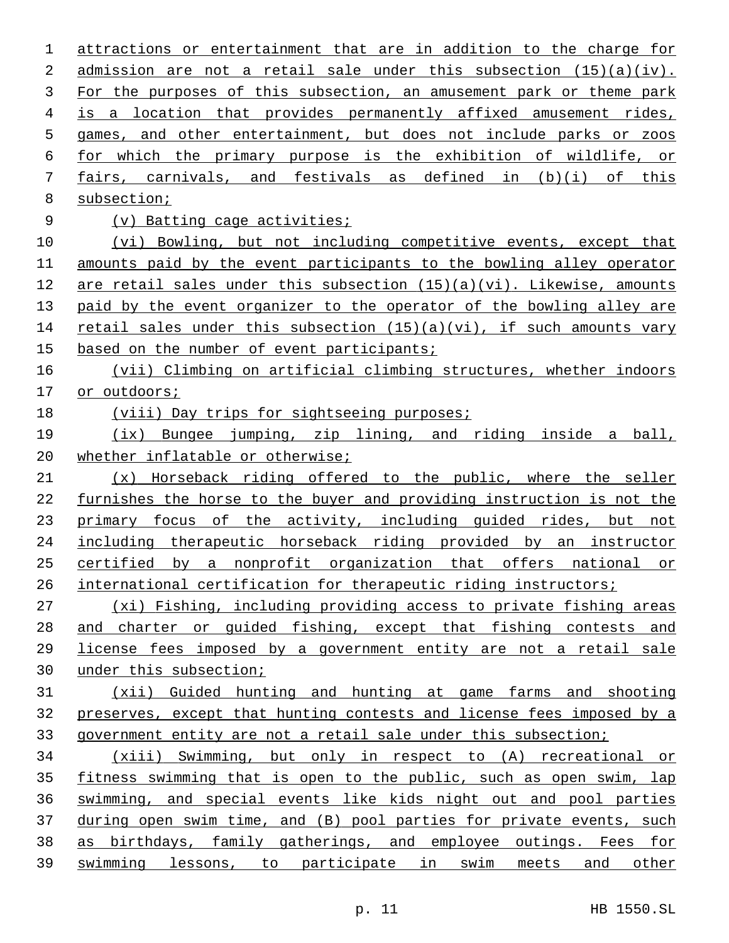attractions or entertainment that are in addition to the charge for admission are not a retail sale under this subsection (15)(a)(iv). 3 For the purposes of this subsection, an amusement park or theme park is a location that provides permanently affixed amusement rides, games, and other entertainment, but does not include parks or zoos for which the primary purpose is the exhibition of wildlife, or fairs, carnivals, and festivals as defined in (b)(i) of this 8 subsection; (v) Batting cage activities; (vi) Bowling, but not including competitive events, except that amounts paid by the event participants to the bowling alley operator are retail sales under this subsection (15)(a)(vi). Likewise, amounts 13 paid by the event organizer to the operator of the bowling alley are 14 retail sales under this subsection (15)(a)(vi), if such amounts vary based on the number of event participants; (vii) Climbing on artificial climbing structures, whether indoors or outdoors; 18 (viii) Day trips for sightseeing purposes; (ix) Bungee jumping, zip lining, and riding inside a ball, 20 whether inflatable or otherwise; (x) Horseback riding offered to the public, where the seller furnishes the horse to the buyer and providing instruction is not the 23 primary focus of the activity, including guided rides, but not including therapeutic horseback riding provided by an instructor certified by a nonprofit organization that offers national or 26 international certification for therapeutic riding instructors; (xi) Fishing, including providing access to private fishing areas and charter or guided fishing, except that fishing contests and license fees imposed by a government entity are not a retail sale under this subsection; (xii) Guided hunting and hunting at game farms and shooting preserves, except that hunting contests and license fees imposed by a government entity are not a retail sale under this subsection; (xiii) Swimming, but only in respect to (A) recreational or 35 fitness swimming that is open to the public, such as open swim, lap swimming, and special events like kids night out and pool parties during open swim time, and (B) pool parties for private events, such as birthdays, family gatherings, and employee outings. Fees for swimming lessons, to participate in swim meets and other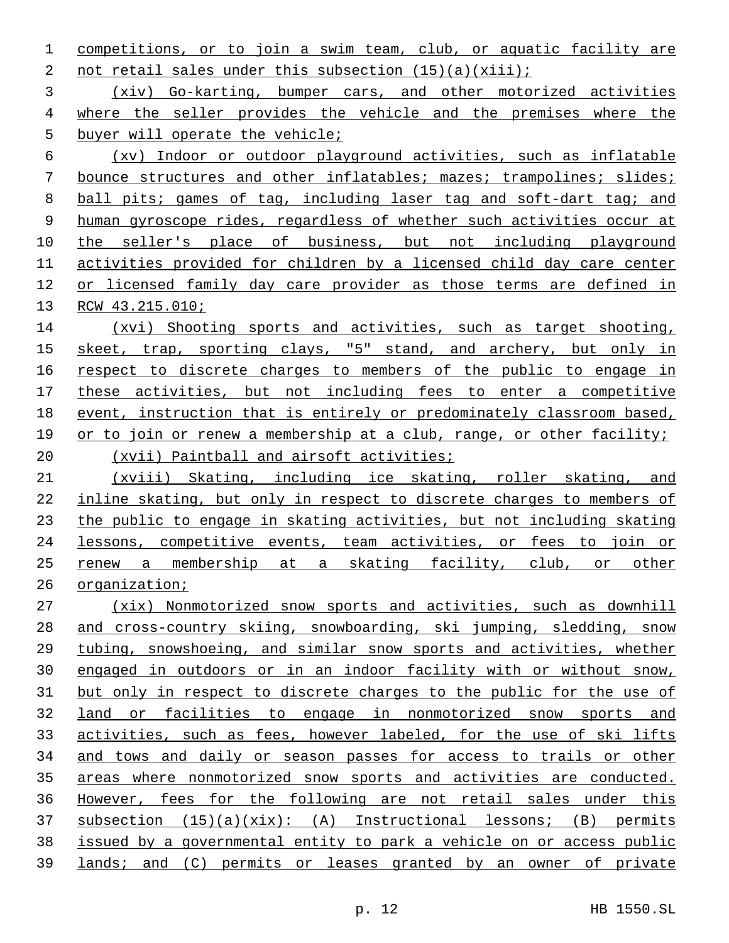competitions, or to join a swim team, club, or aquatic facility are 2 not retail sales under this subsection  $(15)(a)(xiii)$ ;

 (xiv) Go-karting, bumper cars, and other motorized activities where the seller provides the vehicle and the premises where the 5 buyer will operate the vehicle;

 (xv) Indoor or outdoor playground activities, such as inflatable bounce structures and other inflatables; mazes; trampolines; slides; ball pits; games of tag, including laser tag and soft-dart tag; and human gyroscope rides, regardless of whether such activities occur at 10 the seller's place of business, but not including playground activities provided for children by a licensed child day care center or licensed family day care provider as those terms are defined in RCW 43.215.010;

 (xvi) Shooting sports and activities, such as target shooting, skeet, trap, sporting clays, "5" stand, and archery, but only in 16 respect to discrete charges to members of the public to engage in these activities, but not including fees to enter a competitive event, instruction that is entirely or predominately classroom based, or to join or renew a membership at a club, range, or other facility; (xvii) Paintball and airsoft activities;

 (xviii) Skating, including ice skating, roller skating, and inline skating, but only in respect to discrete charges to members of the public to engage in skating activities, but not including skating lessons, competitive events, team activities, or fees to join or renew a membership at a skating facility, club, or other organization;

 (xix) Nonmotorized snow sports and activities, such as downhill and cross-country skiing, snowboarding, ski jumping, sledding, snow tubing, snowshoeing, and similar snow sports and activities, whether engaged in outdoors or in an indoor facility with or without snow, but only in respect to discrete charges to the public for the use of land or facilities to engage in nonmotorized snow sports and activities, such as fees, however labeled, for the use of ski lifts and tows and daily or season passes for access to trails or other areas where nonmotorized snow sports and activities are conducted. However, fees for the following are not retail sales under this subsection  $(15)(a)(xix):$   $(A)$  Instructional lessons;  $(B)$  permits issued by a governmental entity to park a vehicle on or access public lands; and (C) permits or leases granted by an owner of private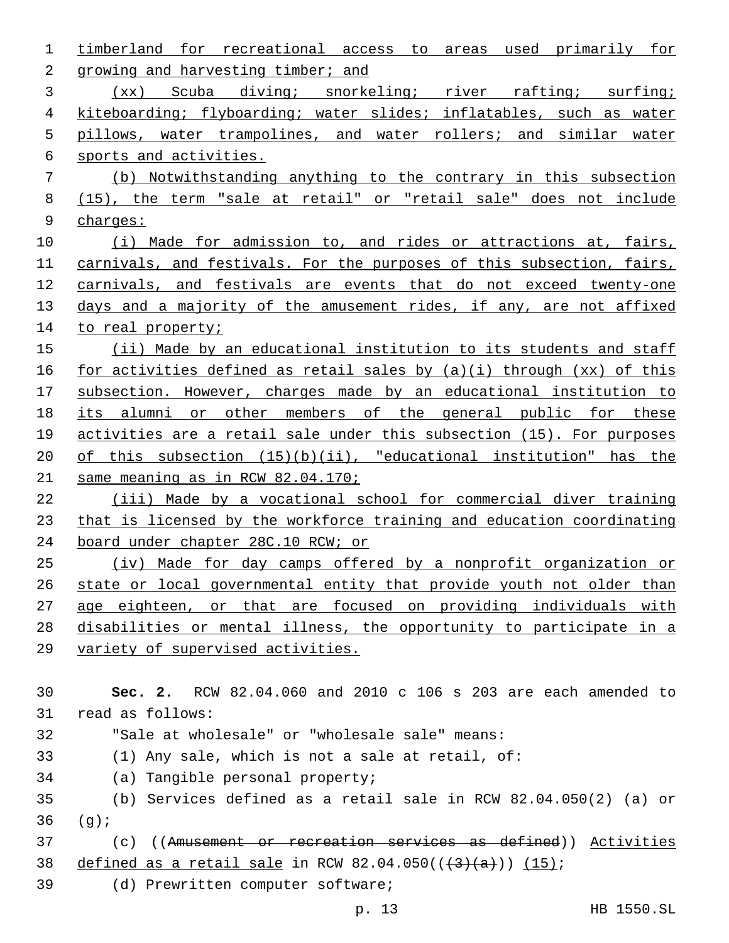| 1  | timberland for<br>recreational access to<br>areas used primarily for      |
|----|---------------------------------------------------------------------------|
| 2  | growing and harvesting timber; and                                        |
| 3  | Scuba diving; snorkeling; river<br>rafting; surfing;<br>(xx)              |
| 4  | kiteboarding; flyboarding; water slides; inflatables, such as water       |
| 5  | pillows, water trampolines, and water rollers; and similar water          |
| 6  | sports and activities.                                                    |
| 7  | (b) Notwithstanding anything to the contrary in this subsection           |
| 8  | (15), the term "sale at retail" or "retail sale" does not include         |
| 9  | charge:                                                                   |
| 10 | (i) Made for admission to, and rides or attractions at, fairs,            |
| 11 | carnivals, and festivals. For the purposes of this subsection, fairs,     |
| 12 | carnivals, and festivals are events that do not exceed twenty-one         |
| 13 | days and a majority of the amusement rides, if any, are not affixed       |
| 14 | to real property;                                                         |
| 15 | (ii) Made by an educational institution to its students and staff         |
| 16 | for activities defined as retail sales by $(a)(i)$ through $(xx)$ of this |
| 17 | subsection. However, charges made by an educational institution to        |
| 18 | its alumni or other members of the general public for these               |
| 19 | activities are a retail sale under this subsection (15). For purposes     |
| 20 | of this subsection $(15)(b)(ii)$ , "educational institution" has the      |
| 21 | same meaning as in RCW 82.04.170;                                         |
| 22 | (iii) Made by a vocational school for commercial diver training           |
| 23 | that is licensed by the workforce training and education coordinating     |
| 24 | board under chapter 28C.10 RCW; or                                        |
| 25 | (iv) Made for day camps offered by a nonprofit organization or            |
| 26 | state or local governmental entity that provide youth not older than      |
| 27 | age eighteen, or that are focused on providing individuals with           |
| 28 | disabilities or mental illness, the opportunity to participate in a       |
| 29 | variety of supervised activities.                                         |
|    |                                                                           |
| 30 | Sec. 2. RCW 82.04.060 and 2010 c 106 s 203 are each amended to            |
| 31 | read as follows:                                                          |
| 32 | "Sale at wholesale" or "wholesale sale" means:                            |
| 33 | (1) Any sale, which is not a sale at retail, of:                          |
| 34 | (a) Tangible personal property;                                           |
| 35 | (b) Services defined as a retail sale in RCW $82.04.050(2)$ (a) or        |
| 36 | (g)                                                                       |
| 37 | (c) ((Amusement or recreation services as defined)) Activities            |
| 38 | defined as a retail sale in RCW 82.04.050( $(\frac{3}{(3 + a)})$ (15);    |
| 39 | (d) Prewritten computer software;                                         |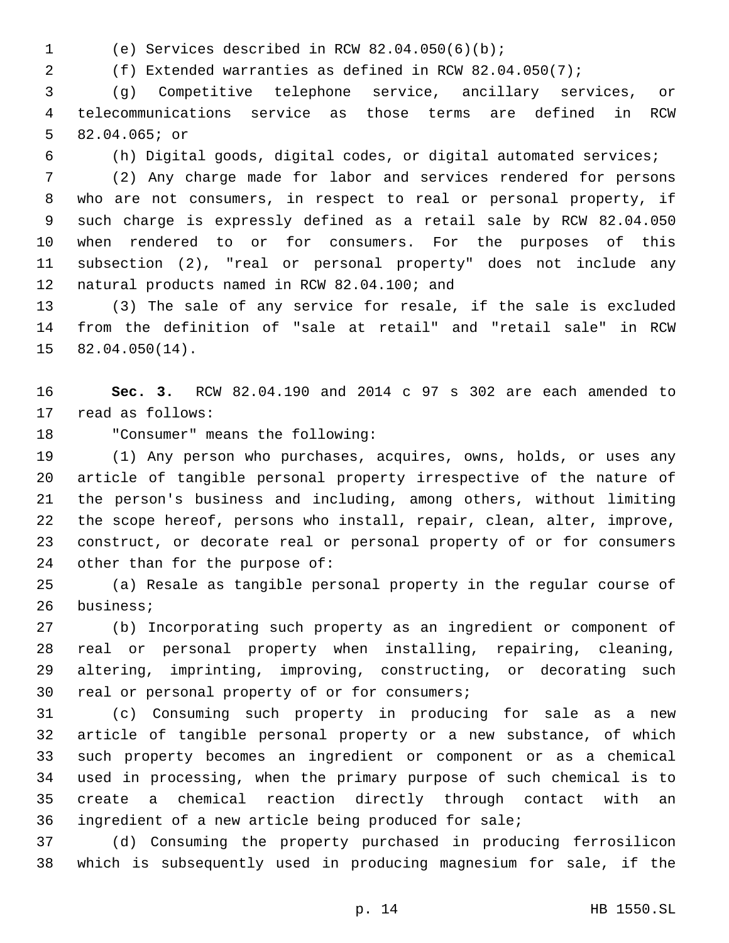- 
- (e) Services described in RCW 82.04.050(6)(b);1

(f) Extended warranties as defined in RCW 82.04.050(7);

 (g) Competitive telephone service, ancillary services, or telecommunications service as those terms are defined in RCW 5 82.04.065; or

(h) Digital goods, digital codes, or digital automated services;

 (2) Any charge made for labor and services rendered for persons who are not consumers, in respect to real or personal property, if such charge is expressly defined as a retail sale by RCW 82.04.050 when rendered to or for consumers. For the purposes of this subsection (2), "real or personal property" does not include any 12 natural products named in RCW 82.04.100; and

 (3) The sale of any service for resale, if the sale is excluded from the definition of "sale at retail" and "retail sale" in RCW  $82.04.050(14)$ .

 **Sec. 3.** RCW 82.04.190 and 2014 c 97 s 302 are each amended to 17 read as follows:

18 "Consumer" means the following:

 (1) Any person who purchases, acquires, owns, holds, or uses any article of tangible personal property irrespective of the nature of the person's business and including, among others, without limiting the scope hereof, persons who install, repair, clean, alter, improve, construct, or decorate real or personal property of or for consumers 24 other than for the purpose of:

 (a) Resale as tangible personal property in the regular course of 26 business;

 (b) Incorporating such property as an ingredient or component of real or personal property when installing, repairing, cleaning, altering, imprinting, improving, constructing, or decorating such 30 real or personal property of or for consumers;

 (c) Consuming such property in producing for sale as a new article of tangible personal property or a new substance, of which such property becomes an ingredient or component or as a chemical used in processing, when the primary purpose of such chemical is to create a chemical reaction directly through contact with an ingredient of a new article being produced for sale;

 (d) Consuming the property purchased in producing ferrosilicon which is subsequently used in producing magnesium for sale, if the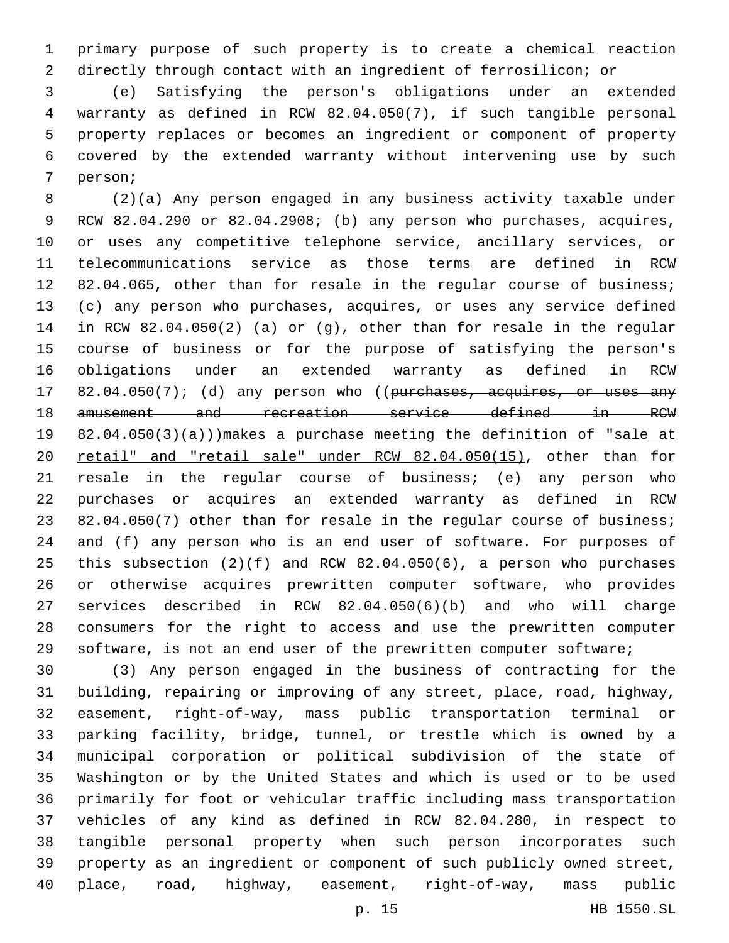primary purpose of such property is to create a chemical reaction directly through contact with an ingredient of ferrosilicon; or

 (e) Satisfying the person's obligations under an extended warranty as defined in RCW 82.04.050(7), if such tangible personal property replaces or becomes an ingredient or component of property covered by the extended warranty without intervening use by such 7 person;

 (2)(a) Any person engaged in any business activity taxable under RCW 82.04.290 or 82.04.2908; (b) any person who purchases, acquires, or uses any competitive telephone service, ancillary services, or telecommunications service as those terms are defined in RCW 12 82.04.065, other than for resale in the regular course of business; (c) any person who purchases, acquires, or uses any service defined in RCW 82.04.050(2) (a) or (g), other than for resale in the regular course of business or for the purpose of satisfying the person's obligations under an extended warranty as defined in RCW 17 82.04.050(7); (d) any person who ((purchases, acquires, or uses any amusement and recreation service defined in RCW  $82.04.050(3)(a)$ )) makes a purchase meeting the definition of "sale at retail" and "retail sale" under RCW 82.04.050(15), other than for resale in the regular course of business; (e) any person who purchases or acquires an extended warranty as defined in RCW 23 82.04.050(7) other than for resale in the regular course of business; and (f) any person who is an end user of software. For purposes of this subsection (2)(f) and RCW 82.04.050(6), a person who purchases or otherwise acquires prewritten computer software, who provides services described in RCW 82.04.050(6)(b) and who will charge consumers for the right to access and use the prewritten computer software, is not an end user of the prewritten computer software;

 (3) Any person engaged in the business of contracting for the building, repairing or improving of any street, place, road, highway, easement, right-of-way, mass public transportation terminal or parking facility, bridge, tunnel, or trestle which is owned by a municipal corporation or political subdivision of the state of Washington or by the United States and which is used or to be used primarily for foot or vehicular traffic including mass transportation vehicles of any kind as defined in RCW 82.04.280, in respect to tangible personal property when such person incorporates such property as an ingredient or component of such publicly owned street, place, road, highway, easement, right-of-way, mass public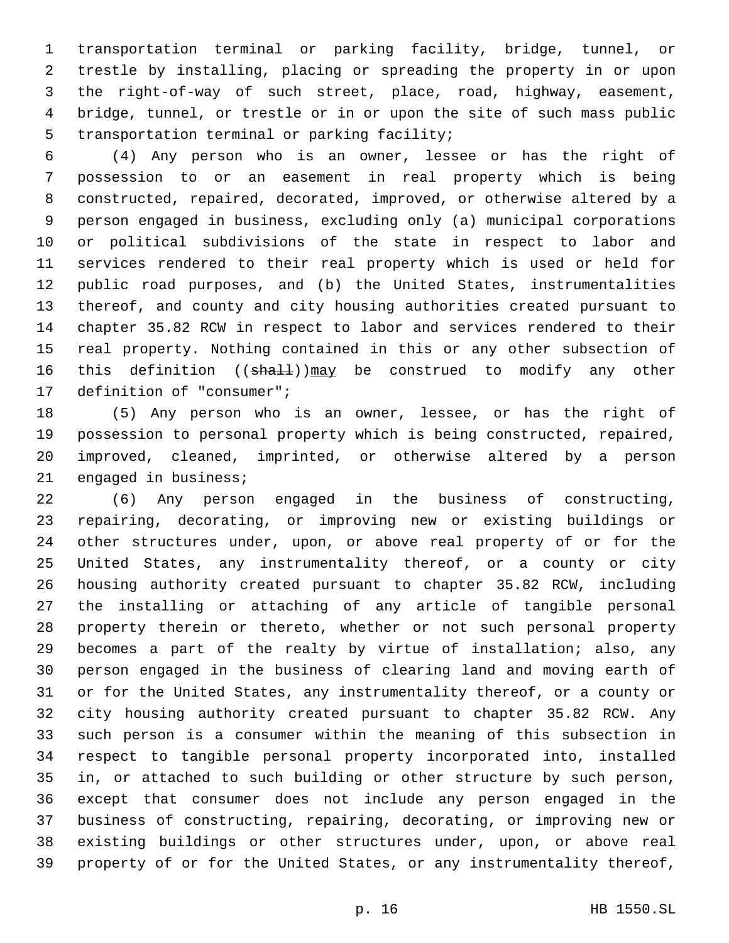transportation terminal or parking facility, bridge, tunnel, or trestle by installing, placing or spreading the property in or upon the right-of-way of such street, place, road, highway, easement, bridge, tunnel, or trestle or in or upon the site of such mass public 5 transportation terminal or parking facility;

 (4) Any person who is an owner, lessee or has the right of possession to or an easement in real property which is being constructed, repaired, decorated, improved, or otherwise altered by a person engaged in business, excluding only (a) municipal corporations or political subdivisions of the state in respect to labor and services rendered to their real property which is used or held for public road purposes, and (b) the United States, instrumentalities thereof, and county and city housing authorities created pursuant to chapter 35.82 RCW in respect to labor and services rendered to their real property. Nothing contained in this or any other subsection of 16 this definition ((shall))may be construed to modify any other 17 definition of "consumer";

 (5) Any person who is an owner, lessee, or has the right of possession to personal property which is being constructed, repaired, improved, cleaned, imprinted, or otherwise altered by a person 21 engaged in business;

 (6) Any person engaged in the business of constructing, repairing, decorating, or improving new or existing buildings or other structures under, upon, or above real property of or for the United States, any instrumentality thereof, or a county or city housing authority created pursuant to chapter 35.82 RCW, including the installing or attaching of any article of tangible personal property therein or thereto, whether or not such personal property becomes a part of the realty by virtue of installation; also, any person engaged in the business of clearing land and moving earth of or for the United States, any instrumentality thereof, or a county or city housing authority created pursuant to chapter 35.82 RCW. Any such person is a consumer within the meaning of this subsection in respect to tangible personal property incorporated into, installed in, or attached to such building or other structure by such person, except that consumer does not include any person engaged in the business of constructing, repairing, decorating, or improving new or existing buildings or other structures under, upon, or above real property of or for the United States, or any instrumentality thereof,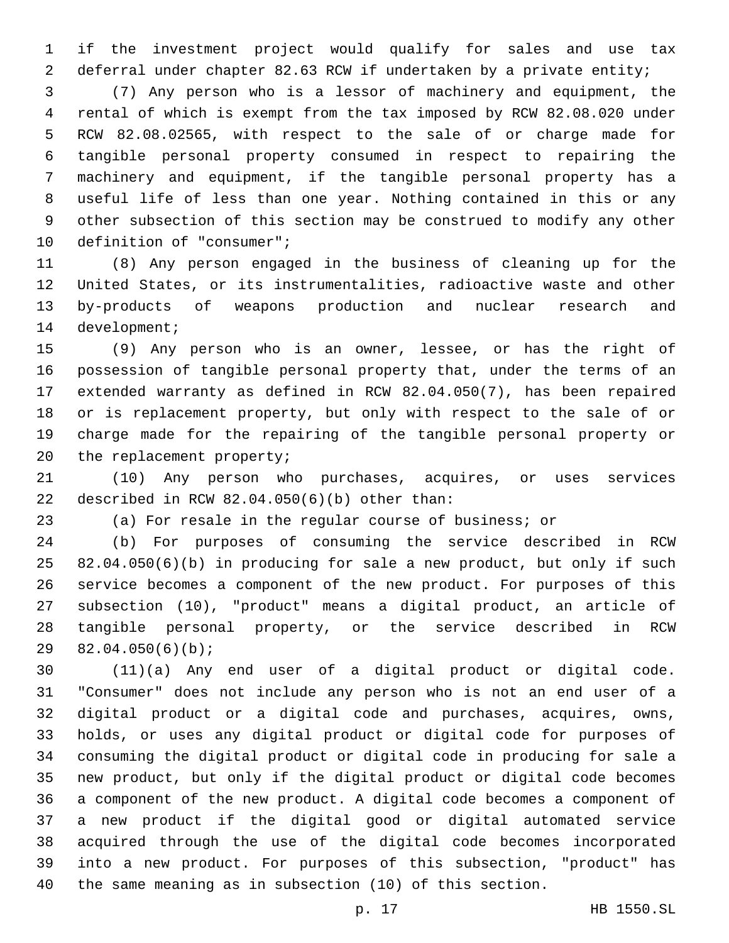if the investment project would qualify for sales and use tax deferral under chapter 82.63 RCW if undertaken by a private entity;

 (7) Any person who is a lessor of machinery and equipment, the rental of which is exempt from the tax imposed by RCW 82.08.020 under RCW 82.08.02565, with respect to the sale of or charge made for tangible personal property consumed in respect to repairing the machinery and equipment, if the tangible personal property has a useful life of less than one year. Nothing contained in this or any other subsection of this section may be construed to modify any other 10 definition of "consumer";

 (8) Any person engaged in the business of cleaning up for the United States, or its instrumentalities, radioactive waste and other by-products of weapons production and nuclear research and 14 development;

 (9) Any person who is an owner, lessee, or has the right of possession of tangible personal property that, under the terms of an extended warranty as defined in RCW 82.04.050(7), has been repaired or is replacement property, but only with respect to the sale of or charge made for the repairing of the tangible personal property or 20 the replacement property;

 (10) Any person who purchases, acquires, or uses services 22 described in RCW  $82.04.050(6)(b)$  other than:

(a) For resale in the regular course of business; or

 (b) For purposes of consuming the service described in RCW 82.04.050(6)(b) in producing for sale a new product, but only if such service becomes a component of the new product. For purposes of this subsection (10), "product" means a digital product, an article of tangible personal property, or the service described in RCW  $82.04.050(6)(b)$ ;

 (11)(a) Any end user of a digital product or digital code. "Consumer" does not include any person who is not an end user of a digital product or a digital code and purchases, acquires, owns, holds, or uses any digital product or digital code for purposes of consuming the digital product or digital code in producing for sale a new product, but only if the digital product or digital code becomes a component of the new product. A digital code becomes a component of a new product if the digital good or digital automated service acquired through the use of the digital code becomes incorporated into a new product. For purposes of this subsection, "product" has the same meaning as in subsection (10) of this section.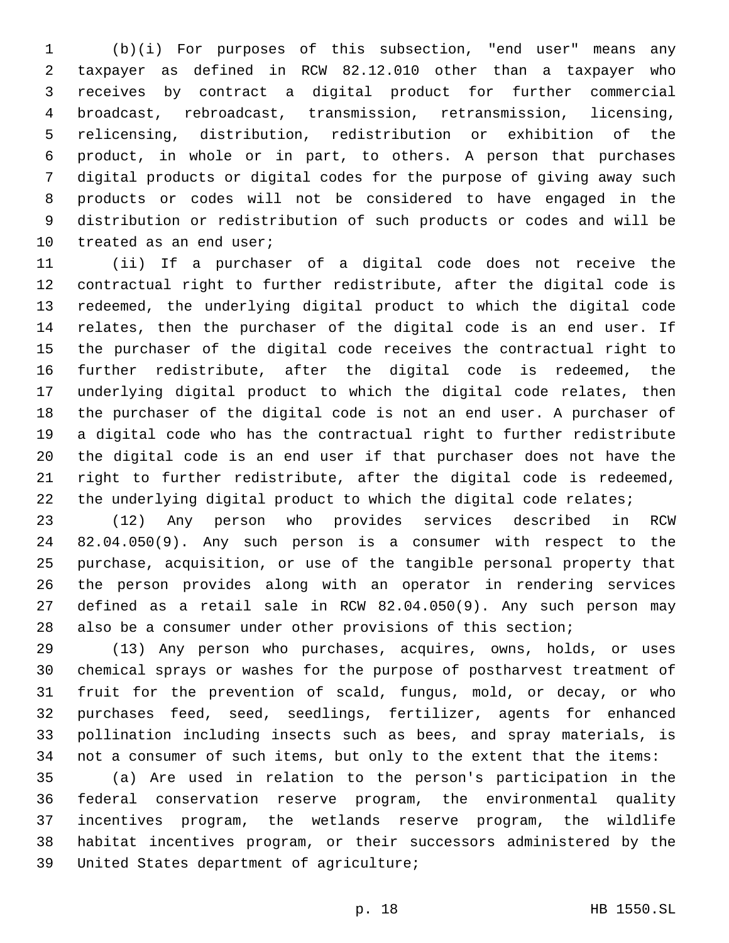(b)(i) For purposes of this subsection, "end user" means any taxpayer as defined in RCW 82.12.010 other than a taxpayer who receives by contract a digital product for further commercial broadcast, rebroadcast, transmission, retransmission, licensing, relicensing, distribution, redistribution or exhibition of the product, in whole or in part, to others. A person that purchases digital products or digital codes for the purpose of giving away such products or codes will not be considered to have engaged in the distribution or redistribution of such products or codes and will be 10 treated as an end user;

 (ii) If a purchaser of a digital code does not receive the contractual right to further redistribute, after the digital code is redeemed, the underlying digital product to which the digital code relates, then the purchaser of the digital code is an end user. If the purchaser of the digital code receives the contractual right to further redistribute, after the digital code is redeemed, the underlying digital product to which the digital code relates, then the purchaser of the digital code is not an end user. A purchaser of a digital code who has the contractual right to further redistribute the digital code is an end user if that purchaser does not have the right to further redistribute, after the digital code is redeemed, 22 the underlying digital product to which the digital code relates;

 (12) Any person who provides services described in RCW 82.04.050(9). Any such person is a consumer with respect to the purchase, acquisition, or use of the tangible personal property that the person provides along with an operator in rendering services defined as a retail sale in RCW 82.04.050(9). Any such person may also be a consumer under other provisions of this section;

 (13) Any person who purchases, acquires, owns, holds, or uses chemical sprays or washes for the purpose of postharvest treatment of fruit for the prevention of scald, fungus, mold, or decay, or who purchases feed, seed, seedlings, fertilizer, agents for enhanced pollination including insects such as bees, and spray materials, is not a consumer of such items, but only to the extent that the items:

 (a) Are used in relation to the person's participation in the federal conservation reserve program, the environmental quality incentives program, the wetlands reserve program, the wildlife habitat incentives program, or their successors administered by the 39 United States department of agriculture;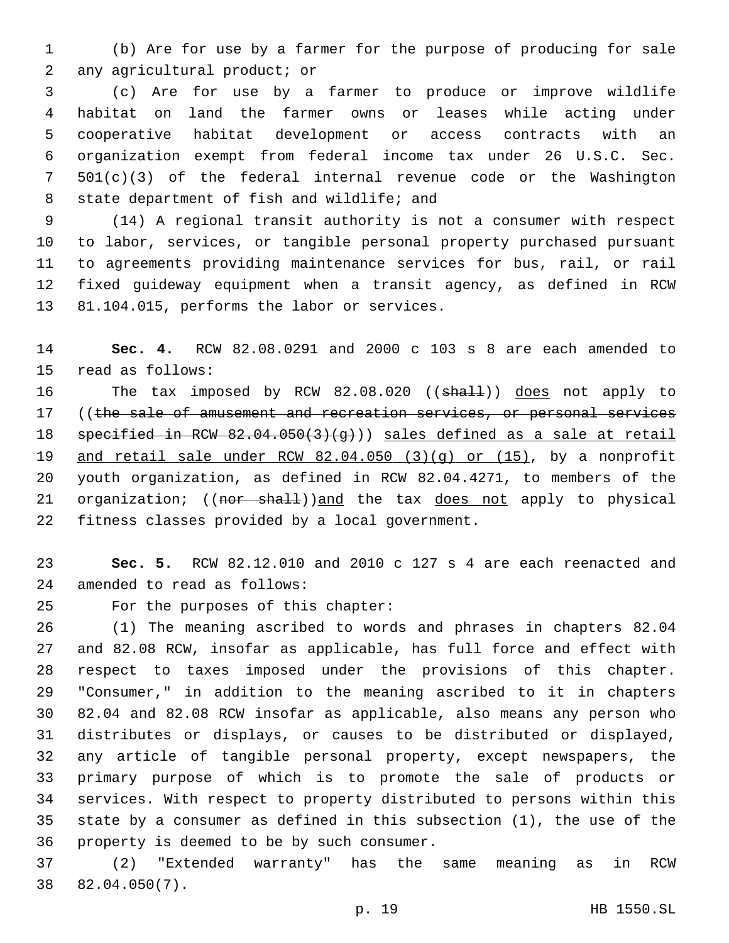(b) Are for use by a farmer for the purpose of producing for sale 2 any agricultural product; or

 (c) Are for use by a farmer to produce or improve wildlife habitat on land the farmer owns or leases while acting under cooperative habitat development or access contracts with an organization exempt from federal income tax under 26 U.S.C. Sec. 501(c)(3) of the federal internal revenue code or the Washington 8 state department of fish and wildlife; and

 (14) A regional transit authority is not a consumer with respect to labor, services, or tangible personal property purchased pursuant to agreements providing maintenance services for bus, rail, or rail fixed guideway equipment when a transit agency, as defined in RCW 13 81.104.015, performs the labor or services.

 **Sec. 4.** RCW 82.08.0291 and 2000 c 103 s 8 are each amended to 15 read as follows:

16 The tax imposed by RCW 82.08.020 ((shall)) does not apply to 17 ((the sale of amusement and recreation services, or personal services 18 specified in RCW 82.04.050(3)(g))) sales defined as a sale at retail and retail sale under RCW 82.04.050 (3)(g) or (15), by a nonprofit youth organization, as defined in RCW 82.04.4271, to members of the 21 organization; ((nor shall))and the tax does not apply to physical 22 fitness classes provided by a local government.

 **Sec. 5.** RCW 82.12.010 and 2010 c 127 s 4 are each reenacted and 24 amended to read as follows:

25 For the purposes of this chapter:

 (1) The meaning ascribed to words and phrases in chapters 82.04 and 82.08 RCW, insofar as applicable, has full force and effect with respect to taxes imposed under the provisions of this chapter. "Consumer," in addition to the meaning ascribed to it in chapters 82.04 and 82.08 RCW insofar as applicable, also means any person who distributes or displays, or causes to be distributed or displayed, any article of tangible personal property, except newspapers, the primary purpose of which is to promote the sale of products or services. With respect to property distributed to persons within this state by a consumer as defined in this subsection (1), the use of the 36 property is deemed to be by such consumer.

 (2) "Extended warranty" has the same meaning as in RCW 82.04.050(7).38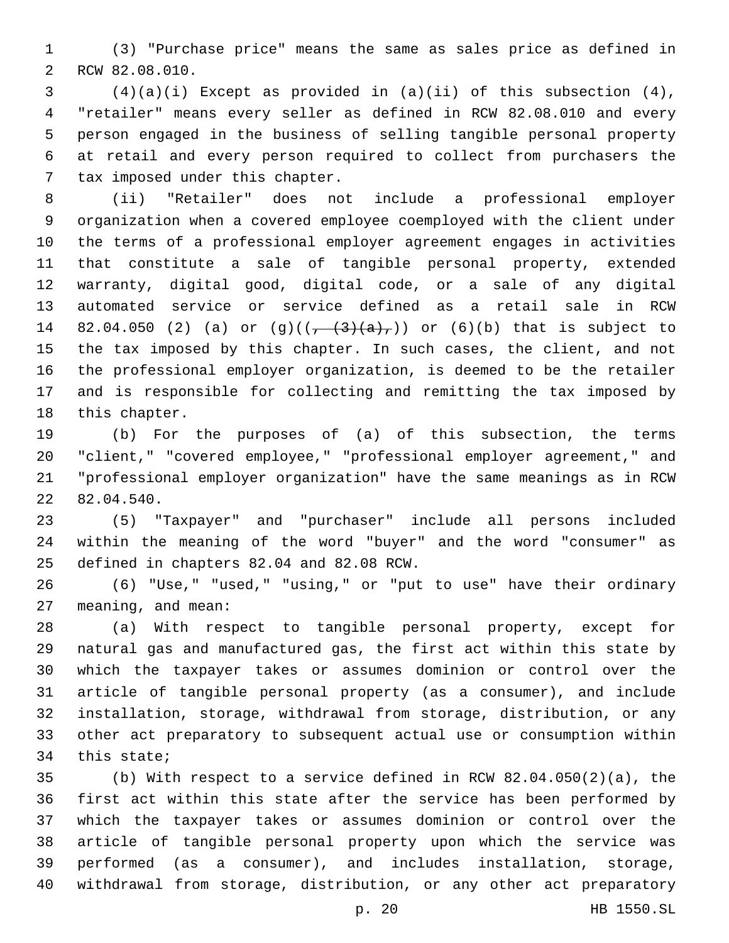(3) "Purchase price" means the same as sales price as defined in 2 RCW 82.08.010.

 (4)(a)(i) Except as provided in (a)(ii) of this subsection (4), "retailer" means every seller as defined in RCW 82.08.010 and every person engaged in the business of selling tangible personal property at retail and every person required to collect from purchasers the 7 tax imposed under this chapter.

 (ii) "Retailer" does not include a professional employer organization when a covered employee coemployed with the client under the terms of a professional employer agreement engages in activities that constitute a sale of tangible personal property, extended warranty, digital good, digital code, or a sale of any digital automated service or service defined as a retail sale in RCW 14 82.04.050 (2) (a) or  $(g)((\frac{1}{(1 + (3)(a)}))$  or  $(6)(b)$  that is subject to the tax imposed by this chapter. In such cases, the client, and not the professional employer organization, is deemed to be the retailer and is responsible for collecting and remitting the tax imposed by 18 this chapter.

 (b) For the purposes of (a) of this subsection, the terms "client," "covered employee," "professional employer agreement," and "professional employer organization" have the same meanings as in RCW 22 82.04.540.

 (5) "Taxpayer" and "purchaser" include all persons included within the meaning of the word "buyer" and the word "consumer" as 25 defined in chapters 82.04 and 82.08 RCW.

 (6) "Use," "used," "using," or "put to use" have their ordinary 27 meaning, and mean:

 (a) With respect to tangible personal property, except for natural gas and manufactured gas, the first act within this state by which the taxpayer takes or assumes dominion or control over the article of tangible personal property (as a consumer), and include installation, storage, withdrawal from storage, distribution, or any other act preparatory to subsequent actual use or consumption within this state;

 (b) With respect to a service defined in RCW 82.04.050(2)(a), the first act within this state after the service has been performed by which the taxpayer takes or assumes dominion or control over the article of tangible personal property upon which the service was performed (as a consumer), and includes installation, storage, withdrawal from storage, distribution, or any other act preparatory

p. 20 HB 1550.SL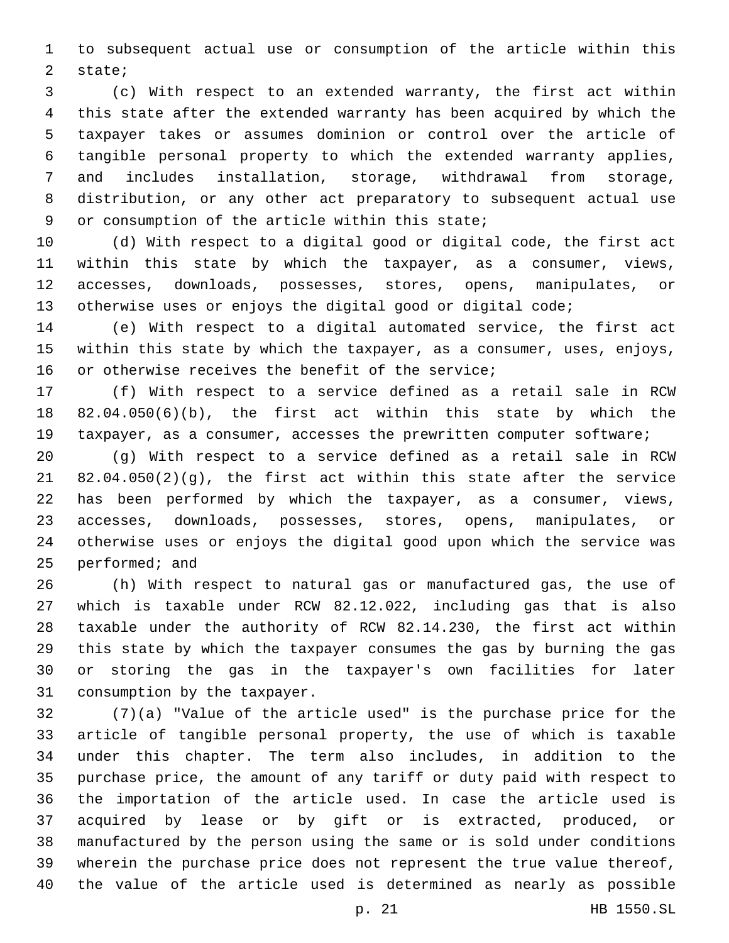to subsequent actual use or consumption of the article within this 2 state;

 (c) With respect to an extended warranty, the first act within this state after the extended warranty has been acquired by which the taxpayer takes or assumes dominion or control over the article of tangible personal property to which the extended warranty applies, and includes installation, storage, withdrawal from storage, distribution, or any other act preparatory to subsequent actual use 9 or consumption of the article within this state;

 (d) With respect to a digital good or digital code, the first act within this state by which the taxpayer, as a consumer, views, accesses, downloads, possesses, stores, opens, manipulates, or 13 otherwise uses or enjoys the digital good or digital code;

 (e) With respect to a digital automated service, the first act within this state by which the taxpayer, as a consumer, uses, enjoys, 16 or otherwise receives the benefit of the service;

 (f) With respect to a service defined as a retail sale in RCW 82.04.050(6)(b), the first act within this state by which the taxpayer, as a consumer, accesses the prewritten computer software;

 (g) With respect to a service defined as a retail sale in RCW 82.04.050(2)(g), the first act within this state after the service has been performed by which the taxpayer, as a consumer, views, accesses, downloads, possesses, stores, opens, manipulates, or otherwise uses or enjoys the digital good upon which the service was 25 performed; and

 (h) With respect to natural gas or manufactured gas, the use of which is taxable under RCW 82.12.022, including gas that is also taxable under the authority of RCW 82.14.230, the first act within this state by which the taxpayer consumes the gas by burning the gas or storing the gas in the taxpayer's own facilities for later 31 consumption by the taxpayer.

 (7)(a) "Value of the article used" is the purchase price for the article of tangible personal property, the use of which is taxable under this chapter. The term also includes, in addition to the purchase price, the amount of any tariff or duty paid with respect to the importation of the article used. In case the article used is acquired by lease or by gift or is extracted, produced, or manufactured by the person using the same or is sold under conditions wherein the purchase price does not represent the true value thereof, the value of the article used is determined as nearly as possible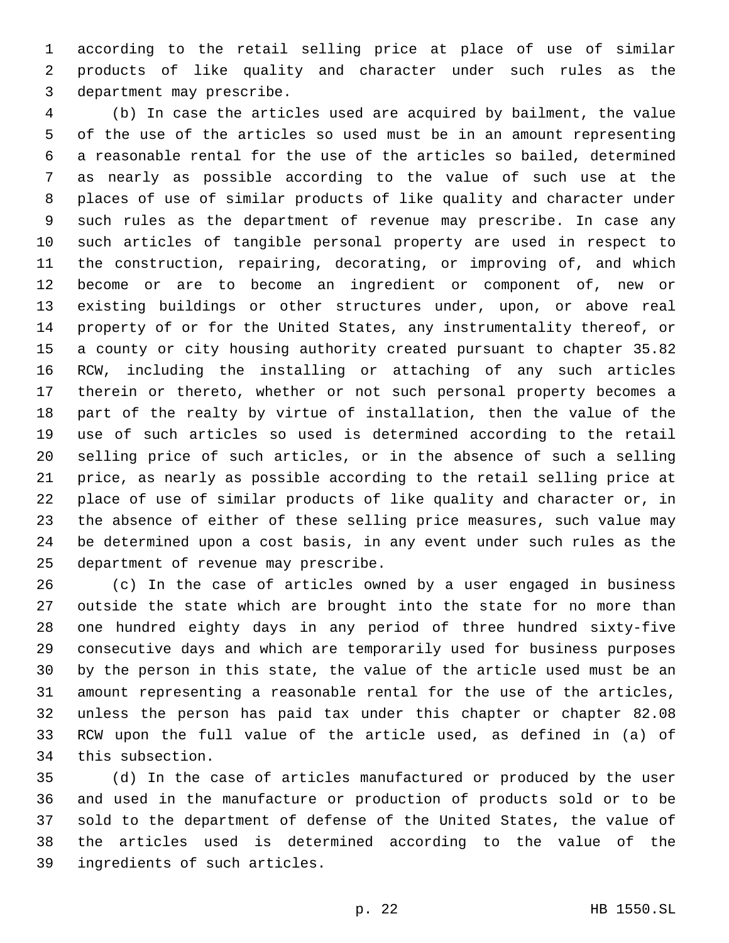according to the retail selling price at place of use of similar products of like quality and character under such rules as the 3 department may prescribe.

 (b) In case the articles used are acquired by bailment, the value of the use of the articles so used must be in an amount representing a reasonable rental for the use of the articles so bailed, determined as nearly as possible according to the value of such use at the places of use of similar products of like quality and character under such rules as the department of revenue may prescribe. In case any such articles of tangible personal property are used in respect to the construction, repairing, decorating, or improving of, and which become or are to become an ingredient or component of, new or existing buildings or other structures under, upon, or above real property of or for the United States, any instrumentality thereof, or a county or city housing authority created pursuant to chapter 35.82 RCW, including the installing or attaching of any such articles therein or thereto, whether or not such personal property becomes a part of the realty by virtue of installation, then the value of the use of such articles so used is determined according to the retail selling price of such articles, or in the absence of such a selling price, as nearly as possible according to the retail selling price at place of use of similar products of like quality and character or, in the absence of either of these selling price measures, such value may be determined upon a cost basis, in any event under such rules as the 25 department of revenue may prescribe.

 (c) In the case of articles owned by a user engaged in business outside the state which are brought into the state for no more than one hundred eighty days in any period of three hundred sixty-five consecutive days and which are temporarily used for business purposes by the person in this state, the value of the article used must be an amount representing a reasonable rental for the use of the articles, unless the person has paid tax under this chapter or chapter 82.08 RCW upon the full value of the article used, as defined in (a) of 34 this subsection.

 (d) In the case of articles manufactured or produced by the user and used in the manufacture or production of products sold or to be sold to the department of defense of the United States, the value of the articles used is determined according to the value of the 39 ingredients of such articles.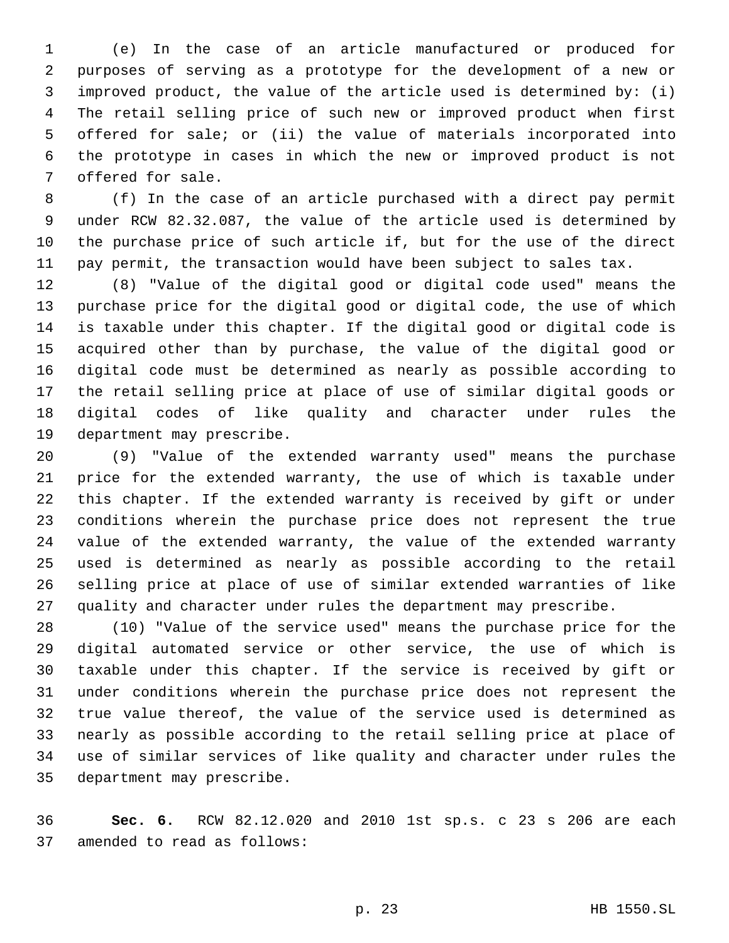(e) In the case of an article manufactured or produced for purposes of serving as a prototype for the development of a new or improved product, the value of the article used is determined by: (i) The retail selling price of such new or improved product when first offered for sale; or (ii) the value of materials incorporated into the prototype in cases in which the new or improved product is not 7 offered for sale.

 (f) In the case of an article purchased with a direct pay permit under RCW 82.32.087, the value of the article used is determined by the purchase price of such article if, but for the use of the direct pay permit, the transaction would have been subject to sales tax.

 (8) "Value of the digital good or digital code used" means the purchase price for the digital good or digital code, the use of which is taxable under this chapter. If the digital good or digital code is acquired other than by purchase, the value of the digital good or digital code must be determined as nearly as possible according to the retail selling price at place of use of similar digital goods or digital codes of like quality and character under rules the 19 department may prescribe.

 (9) "Value of the extended warranty used" means the purchase price for the extended warranty, the use of which is taxable under this chapter. If the extended warranty is received by gift or under conditions wherein the purchase price does not represent the true value of the extended warranty, the value of the extended warranty used is determined as nearly as possible according to the retail selling price at place of use of similar extended warranties of like quality and character under rules the department may prescribe.

 (10) "Value of the service used" means the purchase price for the digital automated service or other service, the use of which is taxable under this chapter. If the service is received by gift or under conditions wherein the purchase price does not represent the true value thereof, the value of the service used is determined as nearly as possible according to the retail selling price at place of use of similar services of like quality and character under rules the 35 department may prescribe.

 **Sec. 6.** RCW 82.12.020 and 2010 1st sp.s. c 23 s 206 are each 37 amended to read as follows: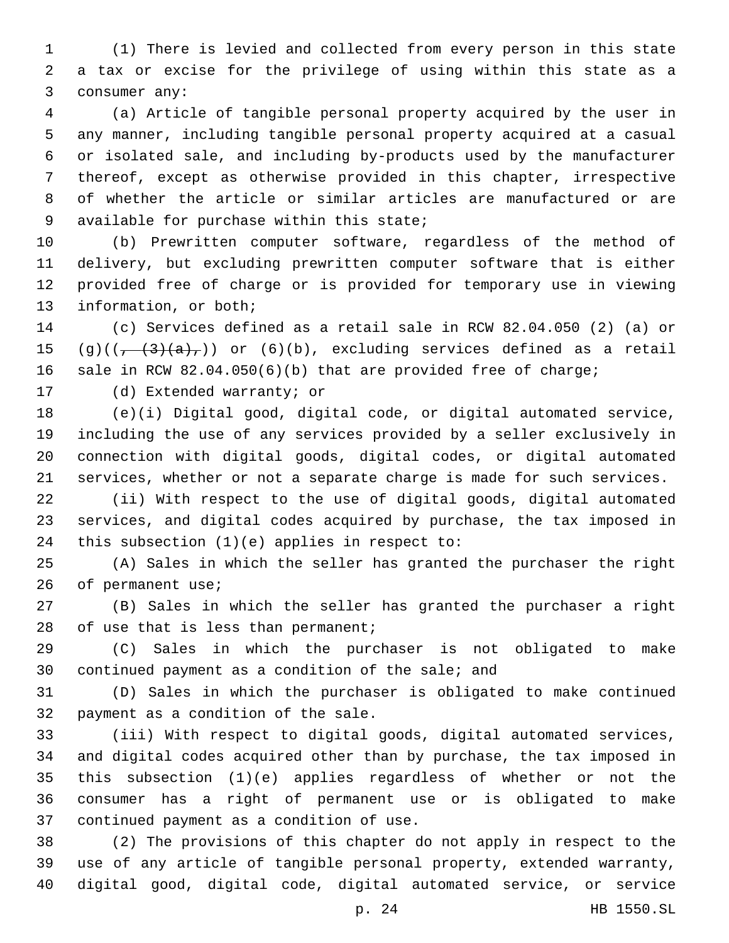(1) There is levied and collected from every person in this state a tax or excise for the privilege of using within this state as a 3 consumer any:

 (a) Article of tangible personal property acquired by the user in any manner, including tangible personal property acquired at a casual or isolated sale, and including by-products used by the manufacturer thereof, except as otherwise provided in this chapter, irrespective of whether the article or similar articles are manufactured or are 9 available for purchase within this state;

 (b) Prewritten computer software, regardless of the method of delivery, but excluding prewritten computer software that is either provided free of charge or is provided for temporary use in viewing 13 information, or both;

 (c) Services defined as a retail sale in RCW 82.04.050 (2) (a) or  $(9)((\frac{1}{2}+3)(a+))$  or  $(6)(b)$ , excluding services defined as a retail sale in RCW 82.04.050(6)(b) that are provided free of charge;

17 (d) Extended warranty; or

 (e)(i) Digital good, digital code, or digital automated service, including the use of any services provided by a seller exclusively in connection with digital goods, digital codes, or digital automated services, whether or not a separate charge is made for such services.

 (ii) With respect to the use of digital goods, digital automated services, and digital codes acquired by purchase, the tax imposed in 24 this subsection  $(1)(e)$  applies in respect to:

 (A) Sales in which the seller has granted the purchaser the right 26 of permanent use;

 (B) Sales in which the seller has granted the purchaser a right 28 of use that is less than permanent;

 (C) Sales in which the purchaser is not obligated to make 30 continued payment as a condition of the sale; and

 (D) Sales in which the purchaser is obligated to make continued 32 payment as a condition of the sale.

 (iii) With respect to digital goods, digital automated services, and digital codes acquired other than by purchase, the tax imposed in this subsection (1)(e) applies regardless of whether or not the consumer has a right of permanent use or is obligated to make 37 continued payment as a condition of use.

 (2) The provisions of this chapter do not apply in respect to the use of any article of tangible personal property, extended warranty, digital good, digital code, digital automated service, or service

p. 24 HB 1550.SL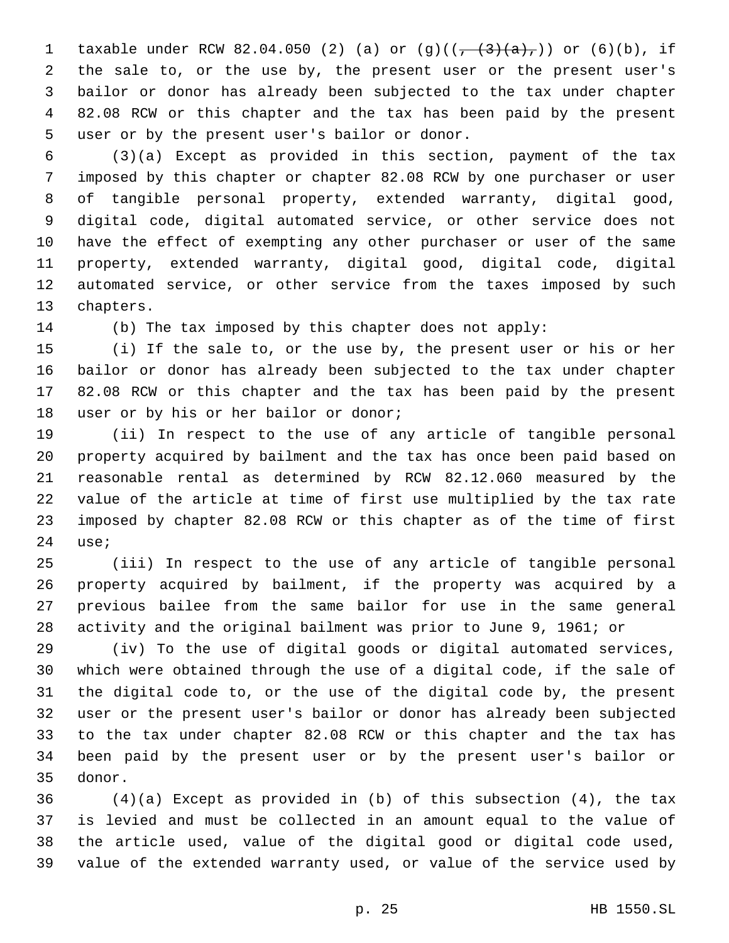1 taxable under RCW 82.04.050 (2) (a) or  $(g)((\frac{1}{(1 + (3)(a),\cdot)})$  or  $(6)(b)$ , if the sale to, or the use by, the present user or the present user's bailor or donor has already been subjected to the tax under chapter 82.08 RCW or this chapter and the tax has been paid by the present 5 user or by the present user's bailor or donor.

 (3)(a) Except as provided in this section, payment of the tax imposed by this chapter or chapter 82.08 RCW by one purchaser or user of tangible personal property, extended warranty, digital good, digital code, digital automated service, or other service does not have the effect of exempting any other purchaser or user of the same property, extended warranty, digital good, digital code, digital automated service, or other service from the taxes imposed by such 13 chapters.

(b) The tax imposed by this chapter does not apply:

 (i) If the sale to, or the use by, the present user or his or her bailor or donor has already been subjected to the tax under chapter 82.08 RCW or this chapter and the tax has been paid by the present 18 user or by his or her bailor or donor;

 (ii) In respect to the use of any article of tangible personal property acquired by bailment and the tax has once been paid based on reasonable rental as determined by RCW 82.12.060 measured by the value of the article at time of first use multiplied by the tax rate imposed by chapter 82.08 RCW or this chapter as of the time of first 24 use;

 (iii) In respect to the use of any article of tangible personal property acquired by bailment, if the property was acquired by a previous bailee from the same bailor for use in the same general activity and the original bailment was prior to June 9, 1961; or

 (iv) To the use of digital goods or digital automated services, which were obtained through the use of a digital code, if the sale of the digital code to, or the use of the digital code by, the present user or the present user's bailor or donor has already been subjected to the tax under chapter 82.08 RCW or this chapter and the tax has been paid by the present user or by the present user's bailor or 35 donor.

 (4)(a) Except as provided in (b) of this subsection (4), the tax is levied and must be collected in an amount equal to the value of the article used, value of the digital good or digital code used, value of the extended warranty used, or value of the service used by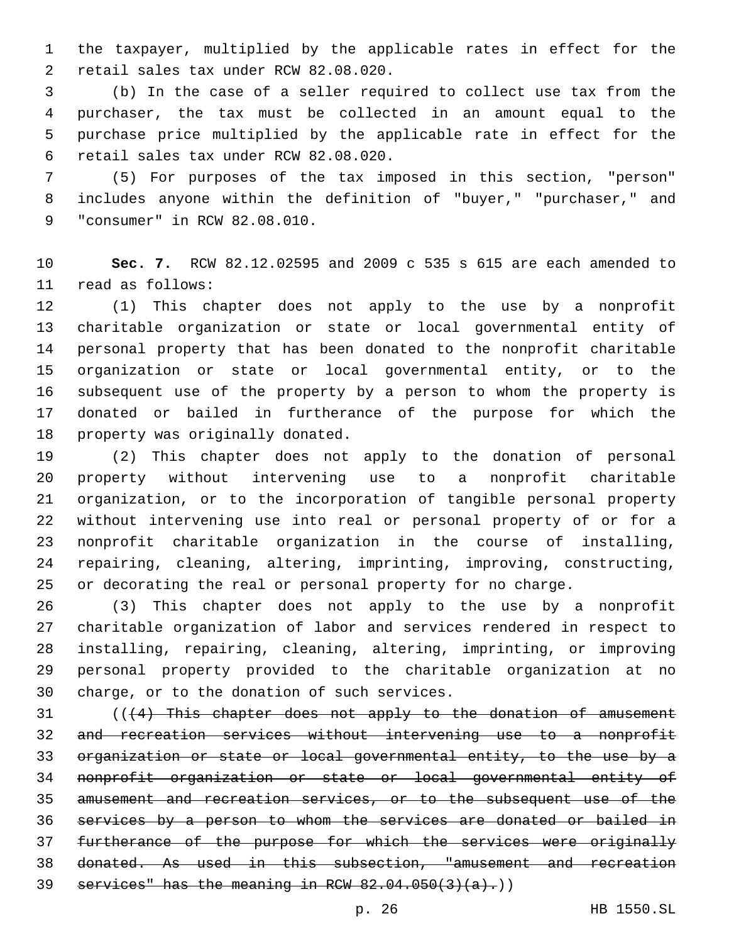the taxpayer, multiplied by the applicable rates in effect for the 2 retail sales tax under RCW 82.08.020.

 (b) In the case of a seller required to collect use tax from the purchaser, the tax must be collected in an amount equal to the purchase price multiplied by the applicable rate in effect for the retail sales tax under RCW 82.08.020.6

 (5) For purposes of the tax imposed in this section, "person" includes anyone within the definition of "buyer," "purchaser," and 9 "consumer" in RCW 82.08.010.

 **Sec. 7.** RCW 82.12.02595 and 2009 c 535 s 615 are each amended to 11 read as follows:

 (1) This chapter does not apply to the use by a nonprofit charitable organization or state or local governmental entity of personal property that has been donated to the nonprofit charitable organization or state or local governmental entity, or to the subsequent use of the property by a person to whom the property is donated or bailed in furtherance of the purpose for which the 18 property was originally donated.

 (2) This chapter does not apply to the donation of personal property without intervening use to a nonprofit charitable organization, or to the incorporation of tangible personal property without intervening use into real or personal property of or for a nonprofit charitable organization in the course of installing, repairing, cleaning, altering, imprinting, improving, constructing, or decorating the real or personal property for no charge.

 (3) This chapter does not apply to the use by a nonprofit charitable organization of labor and services rendered in respect to installing, repairing, cleaning, altering, imprinting, or improving personal property provided to the charitable organization at no 30 charge, or to the donation of such services.

 (((4) This chapter does not apply to the donation of amusement and recreation services without intervening use to a nonprofit organization or state or local governmental entity, to the use by a nonprofit organization or state or local governmental entity of amusement and recreation services, or to the subsequent use of the services by a person to whom the services are donated or bailed in furtherance of the purpose for which the services were originally donated. As used in this subsection, "amusement and recreation 39 services" has the meaning in RCW  $82.04.050(3)(a)$ .)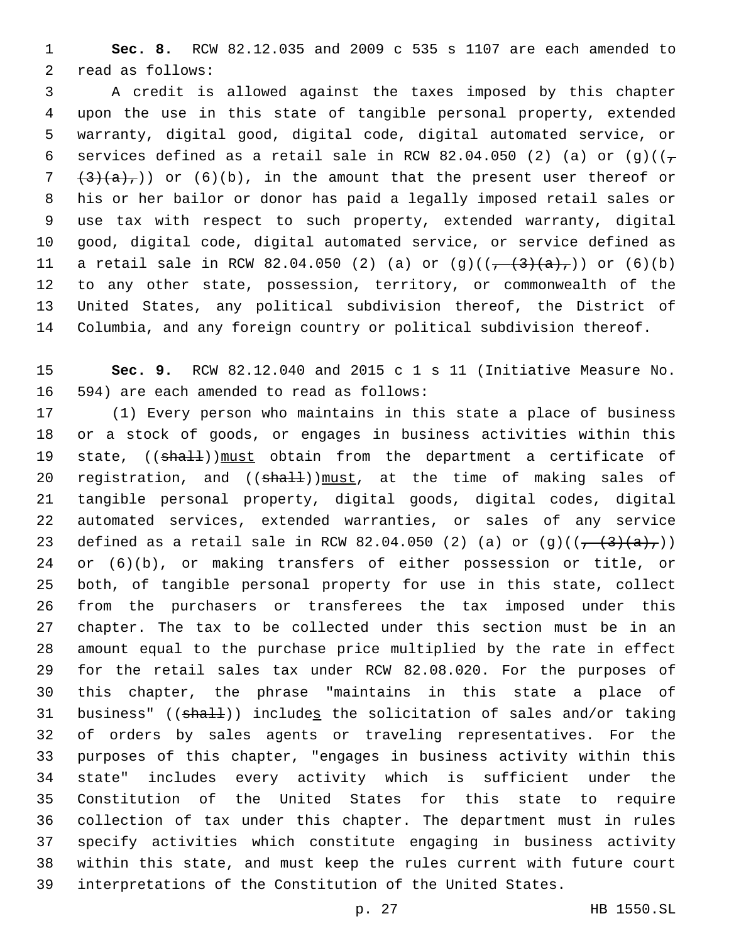**Sec. 8.** RCW 82.12.035 and 2009 c 535 s 1107 are each amended to 2 read as follows:

 A credit is allowed against the taxes imposed by this chapter upon the use in this state of tangible personal property, extended warranty, digital good, digital code, digital automated service, or 6 services defined as a retail sale in RCW 82.04.050 (2) (a) or (g)( $(\tau$   $(3)(a),$ ) or (6)(b), in the amount that the present user thereof or his or her bailor or donor has paid a legally imposed retail sales or use tax with respect to such property, extended warranty, digital good, digital code, digital automated service, or service defined as 11 a retail sale in RCW 82.04.050 (2) (a) or  $(g)((\frac{1}{(1 + (3)(a), 1)})$  or  $(6)(b)$  to any other state, possession, territory, or commonwealth of the United States, any political subdivision thereof, the District of Columbia, and any foreign country or political subdivision thereof.

 **Sec. 9.** RCW 82.12.040 and 2015 c 1 s 11 (Initiative Measure No. 16 594) are each amended to read as follows:

 (1) Every person who maintains in this state a place of business or a stock of goods, or engages in business activities within this 19 state, ((shall))must obtain from the department a certificate of 20 registration, and ((shall))must, at the time of making sales of tangible personal property, digital goods, digital codes, digital automated services, extended warranties, or sales of any service 23 defined as a retail sale in RCW 82.04.050 (2) (a) or  $(g)((\frac{1}{(1 + (3)(a))})$  or (6)(b), or making transfers of either possession or title, or both, of tangible personal property for use in this state, collect from the purchasers or transferees the tax imposed under this chapter. The tax to be collected under this section must be in an amount equal to the purchase price multiplied by the rate in effect for the retail sales tax under RCW 82.08.020. For the purposes of this chapter, the phrase "maintains in this state a place of 31 business" ((shall)) includes the solicitation of sales and/or taking of orders by sales agents or traveling representatives. For the purposes of this chapter, "engages in business activity within this state" includes every activity which is sufficient under the Constitution of the United States for this state to require collection of tax under this chapter. The department must in rules specify activities which constitute engaging in business activity within this state, and must keep the rules current with future court interpretations of the Constitution of the United States.

p. 27 HB 1550.SL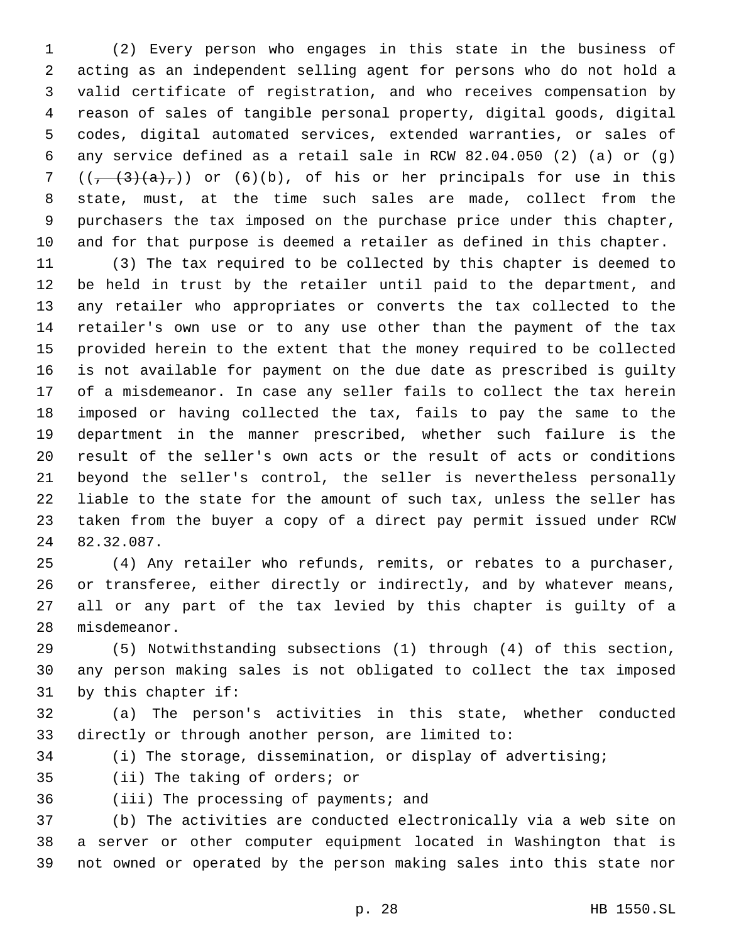(2) Every person who engages in this state in the business of acting as an independent selling agent for persons who do not hold a valid certificate of registration, and who receives compensation by reason of sales of tangible personal property, digital goods, digital codes, digital automated services, extended warranties, or sales of any service defined as a retail sale in RCW 82.04.050 (2) (a) or (g)  $((, (3)(a),))$  or  $(6)(b)$ , of his or her principals for use in this state, must, at the time such sales are made, collect from the purchasers the tax imposed on the purchase price under this chapter, and for that purpose is deemed a retailer as defined in this chapter.

 (3) The tax required to be collected by this chapter is deemed to be held in trust by the retailer until paid to the department, and any retailer who appropriates or converts the tax collected to the retailer's own use or to any use other than the payment of the tax provided herein to the extent that the money required to be collected is not available for payment on the due date as prescribed is guilty of a misdemeanor. In case any seller fails to collect the tax herein imposed or having collected the tax, fails to pay the same to the department in the manner prescribed, whether such failure is the result of the seller's own acts or the result of acts or conditions beyond the seller's control, the seller is nevertheless personally liable to the state for the amount of such tax, unless the seller has taken from the buyer a copy of a direct pay permit issued under RCW 24 82.32.087.

 (4) Any retailer who refunds, remits, or rebates to a purchaser, or transferee, either directly or indirectly, and by whatever means, all or any part of the tax levied by this chapter is guilty of a 28 misdemeanor.

 (5) Notwithstanding subsections (1) through (4) of this section, any person making sales is not obligated to collect the tax imposed 31 by this chapter if:

 (a) The person's activities in this state, whether conducted directly or through another person, are limited to:

(i) The storage, dissemination, or display of advertising;

35 (ii) The taking of orders; or

36 (iii) The processing of payments; and

 (b) The activities are conducted electronically via a web site on a server or other computer equipment located in Washington that is not owned or operated by the person making sales into this state nor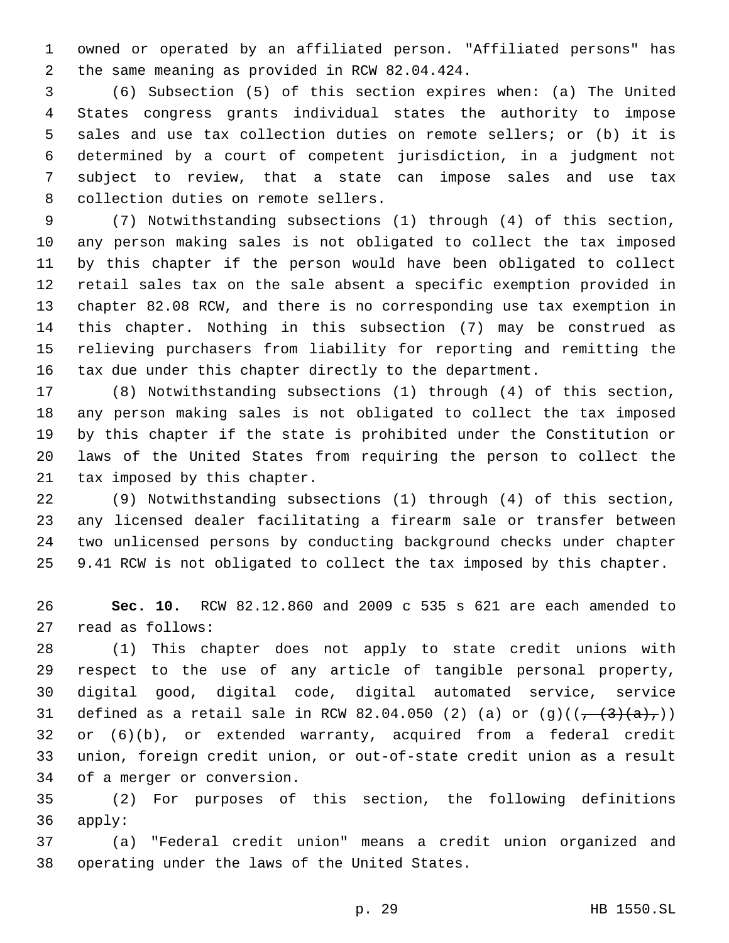owned or operated by an affiliated person. "Affiliated persons" has 2 the same meaning as provided in RCW 82.04.424.

 (6) Subsection (5) of this section expires when: (a) The United States congress grants individual states the authority to impose sales and use tax collection duties on remote sellers; or (b) it is determined by a court of competent jurisdiction, in a judgment not subject to review, that a state can impose sales and use tax 8 collection duties on remote sellers.

 (7) Notwithstanding subsections (1) through (4) of this section, any person making sales is not obligated to collect the tax imposed by this chapter if the person would have been obligated to collect retail sales tax on the sale absent a specific exemption provided in chapter 82.08 RCW, and there is no corresponding use tax exemption in this chapter. Nothing in this subsection (7) may be construed as relieving purchasers from liability for reporting and remitting the tax due under this chapter directly to the department.

 (8) Notwithstanding subsections (1) through (4) of this section, any person making sales is not obligated to collect the tax imposed by this chapter if the state is prohibited under the Constitution or laws of the United States from requiring the person to collect the 21 tax imposed by this chapter.

 (9) Notwithstanding subsections (1) through (4) of this section, any licensed dealer facilitating a firearm sale or transfer between two unlicensed persons by conducting background checks under chapter 9.41 RCW is not obligated to collect the tax imposed by this chapter.

 **Sec. 10.** RCW 82.12.860 and 2009 c 535 s 621 are each amended to 27 read as follows:

 (1) This chapter does not apply to state credit unions with respect to the use of any article of tangible personal property, digital good, digital code, digital automated service, service 31 defined as a retail sale in RCW 82.04.050 (2) (a) or  $(g)((\frac{1}{(1 + (3)(a))})$  or (6)(b), or extended warranty, acquired from a federal credit union, foreign credit union, or out-of-state credit union as a result 34 of a merger or conversion.

 (2) For purposes of this section, the following definitions 36 apply:

 (a) "Federal credit union" means a credit union organized and 38 operating under the laws of the United States.

p. 29 HB 1550.SL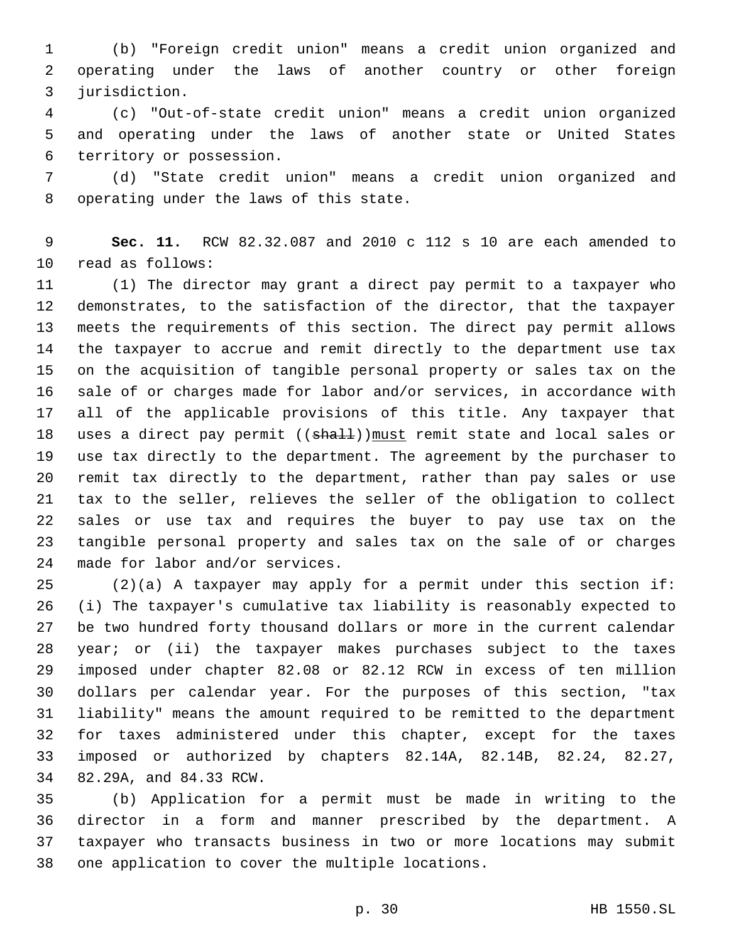(b) "Foreign credit union" means a credit union organized and operating under the laws of another country or other foreign 3 jurisdiction.

 (c) "Out-of-state credit union" means a credit union organized and operating under the laws of another state or United States 6 territory or possession.

 (d) "State credit union" means a credit union organized and 8 operating under the laws of this state.

 **Sec. 11.** RCW 82.32.087 and 2010 c 112 s 10 are each amended to 10 read as follows:

 (1) The director may grant a direct pay permit to a taxpayer who demonstrates, to the satisfaction of the director, that the taxpayer meets the requirements of this section. The direct pay permit allows the taxpayer to accrue and remit directly to the department use tax on the acquisition of tangible personal property or sales tax on the sale of or charges made for labor and/or services, in accordance with all of the applicable provisions of this title. Any taxpayer that 18 uses a direct pay permit ((shall)) must remit state and local sales or use tax directly to the department. The agreement by the purchaser to remit tax directly to the department, rather than pay sales or use tax to the seller, relieves the seller of the obligation to collect sales or use tax and requires the buyer to pay use tax on the tangible personal property and sales tax on the sale of or charges 24 made for labor and/or services.

 (2)(a) A taxpayer may apply for a permit under this section if: (i) The taxpayer's cumulative tax liability is reasonably expected to be two hundred forty thousand dollars or more in the current calendar year; or (ii) the taxpayer makes purchases subject to the taxes imposed under chapter 82.08 or 82.12 RCW in excess of ten million dollars per calendar year. For the purposes of this section, "tax liability" means the amount required to be remitted to the department for taxes administered under this chapter, except for the taxes imposed or authorized by chapters 82.14A, 82.14B, 82.24, 82.27, 34 82.29A, and 84.33 RCW.

 (b) Application for a permit must be made in writing to the director in a form and manner prescribed by the department. A taxpayer who transacts business in two or more locations may submit 38 one application to cover the multiple locations.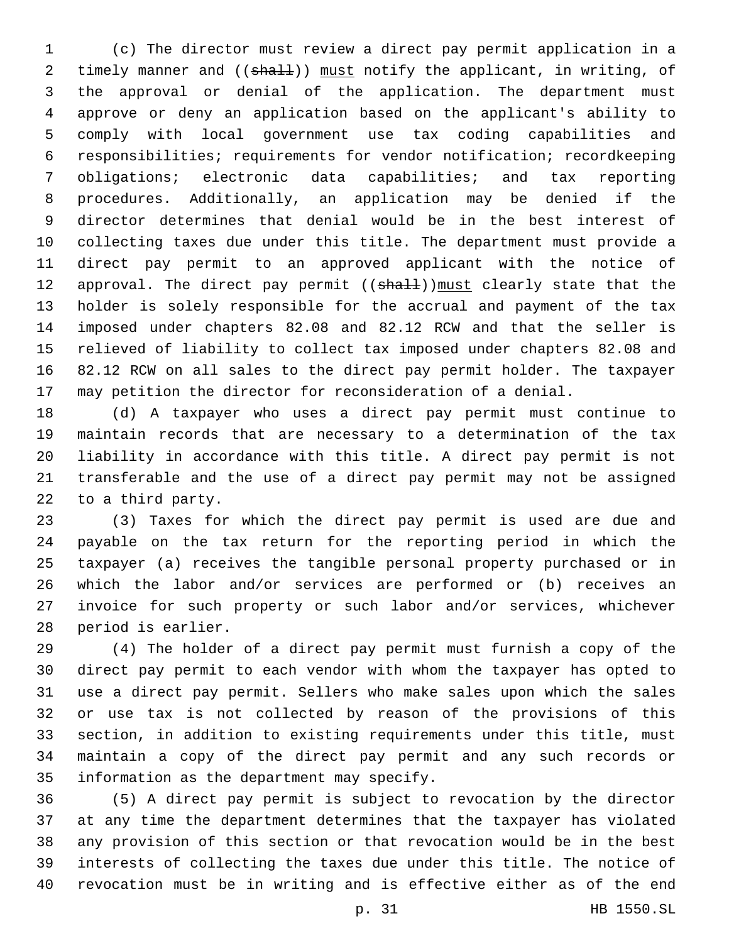(c) The director must review a direct pay permit application in a 2 timely manner and ((shall)) must notify the applicant, in writing, of the approval or denial of the application. The department must approve or deny an application based on the applicant's ability to comply with local government use tax coding capabilities and responsibilities; requirements for vendor notification; recordkeeping obligations; electronic data capabilities; and tax reporting procedures. Additionally, an application may be denied if the director determines that denial would be in the best interest of collecting taxes due under this title. The department must provide a direct pay permit to an approved applicant with the notice of 12 approval. The direct pay permit ((shall)) must clearly state that the holder is solely responsible for the accrual and payment of the tax imposed under chapters 82.08 and 82.12 RCW and that the seller is relieved of liability to collect tax imposed under chapters 82.08 and 82.12 RCW on all sales to the direct pay permit holder. The taxpayer may petition the director for reconsideration of a denial.

 (d) A taxpayer who uses a direct pay permit must continue to maintain records that are necessary to a determination of the tax liability in accordance with this title. A direct pay permit is not transferable and the use of a direct pay permit may not be assigned 22 to a third party.

 (3) Taxes for which the direct pay permit is used are due and payable on the tax return for the reporting period in which the taxpayer (a) receives the tangible personal property purchased or in which the labor and/or services are performed or (b) receives an invoice for such property or such labor and/or services, whichever 28 period is earlier.

 (4) The holder of a direct pay permit must furnish a copy of the direct pay permit to each vendor with whom the taxpayer has opted to use a direct pay permit. Sellers who make sales upon which the sales or use tax is not collected by reason of the provisions of this section, in addition to existing requirements under this title, must maintain a copy of the direct pay permit and any such records or 35 information as the department may specify.

 (5) A direct pay permit is subject to revocation by the director at any time the department determines that the taxpayer has violated any provision of this section or that revocation would be in the best interests of collecting the taxes due under this title. The notice of revocation must be in writing and is effective either as of the end

p. 31 HB 1550.SL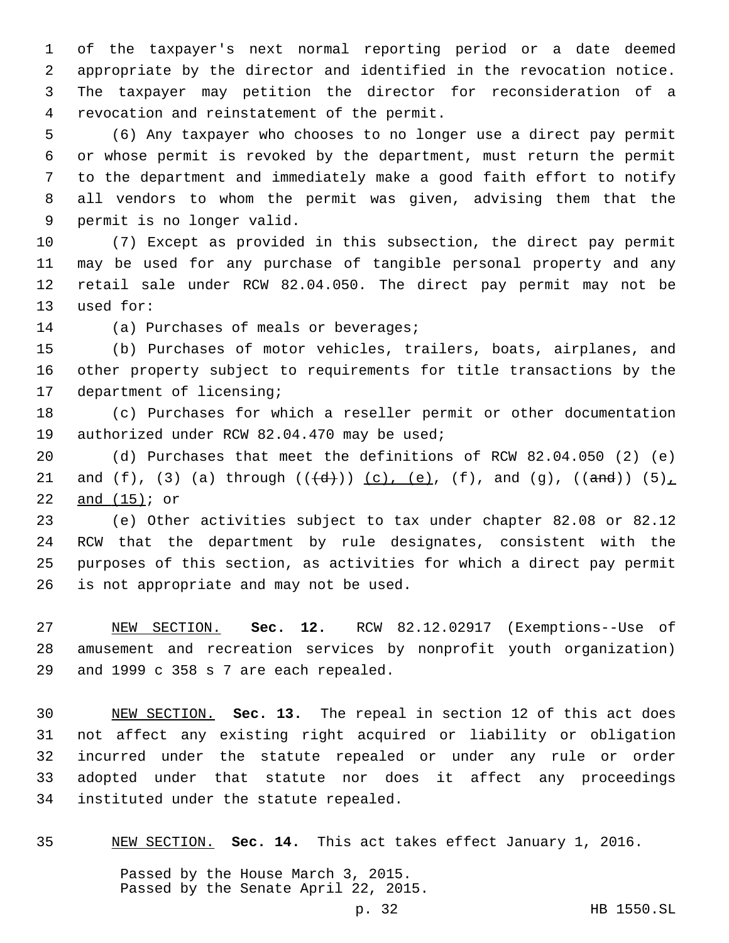of the taxpayer's next normal reporting period or a date deemed appropriate by the director and identified in the revocation notice. The taxpayer may petition the director for reconsideration of a 4 revocation and reinstatement of the permit.

 (6) Any taxpayer who chooses to no longer use a direct pay permit or whose permit is revoked by the department, must return the permit to the department and immediately make a good faith effort to notify all vendors to whom the permit was given, advising them that the 9 permit is no longer valid.

 (7) Except as provided in this subsection, the direct pay permit may be used for any purchase of tangible personal property and any retail sale under RCW 82.04.050. The direct pay permit may not be 13 used for:

14 (a) Purchases of meals or beverages;

 (b) Purchases of motor vehicles, trailers, boats, airplanes, and other property subject to requirements for title transactions by the 17 department of licensing;

 (c) Purchases for which a reseller permit or other documentation 19 authorized under RCW 82.04.470 may be used;

 (d) Purchases that meet the definitions of RCW 82.04.050 (2) (e) 21 and (f), (3) (a) through  $((\{d\}))(c)$ , (e), (f), and (g),  $((\text{and}))$  (5), 22 and  $(15)$ ; or

 (e) Other activities subject to tax under chapter 82.08 or 82.12 RCW that the department by rule designates, consistent with the purposes of this section, as activities for which a direct pay permit 26 is not appropriate and may not be used.

 NEW SECTION. **Sec. 12.** RCW 82.12.02917 (Exemptions--Use of amusement and recreation services by nonprofit youth organization) and 1999 c 358 s 7 are each repealed.

 NEW SECTION. **Sec. 13.** The repeal in section 12 of this act does not affect any existing right acquired or liability or obligation incurred under the statute repealed or under any rule or order adopted under that statute nor does it affect any proceedings instituted under the statute repealed.

NEW SECTION. **Sec. 14.** This act takes effect January 1, 2016.

Passed by the House March 3, 2015. Passed by the Senate April 22, 2015.